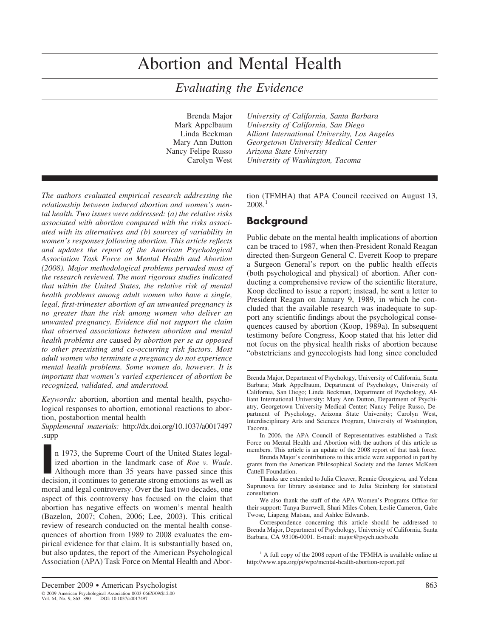# Abortion and Mental Health

*Evaluating the Evidence*

Brenda Major *University of California, Santa Barbara* Mark Appelbaum *University of California, San Diego* Linda Beckman *Alliant International University, Los Angeles* Mary Ann Dutton *Georgetown University Medical Center* Nancy Felipe Russo *Arizona State University* Carolyn West *University of Washington, Tacoma*

*The authors evaluated empirical research addressing the relationship between induced abortion and women's mental health. Two issues were addressed: (a) the relative risks associated with abortion compared with the risks associated with its alternatives and (b) sources of variability in women's responses following abortion. This article reflects and updates the report of the American Psychological Association Task Force on Mental Health and Abortion (2008). Major methodological problems pervaded most of the research reviewed. The most rigorous studies indicated that within the United States, the relative risk of mental health problems among adult women who have a single, legal, first-trimester abortion of an unwanted pregnancy is no greater than the risk among women who deliver an unwanted pregnancy. Evidence did not support the claim that observed associations between abortion and mental health problems are* caused *by abortion per se as opposed to other preexisting and co-occurring risk factors. Most adult women who terminate a pregnancy do not experience mental health problems. Some women do, however. It is important that women's varied experiences of abortion be recognized, validated, and understood.*

*Keywords:* abortion, abortion and mental health, psychological responses to abortion, emotional reactions to abortion, postabortion mental health

*Supplemental materials:* http://dx.doi.org/10.1037/a0017497 .supp

**I** n 1973, the Supreme Court of the United States legalized abortion in the landmark case of *Roe v. Wade*. Although more than 35 years have passed since this decision, it continues to generate strong emotions as well as n 1973, the Supreme Court of the United States legalized abortion in the landmark case of *Roe v. Wade*. Although more than 35 years have passed since this moral and legal controversy. Over the last two decades, one aspect of this controversy has focused on the claim that abortion has negative effects on women's mental health (Bazelon, 2007; Cohen, 2006; Lee, 2003). This critical review of research conducted on the mental health consequences of abortion from 1989 to 2008 evaluates the empirical evidence for that claim. It is substantially based on, but also updates, the report of the American Psychological Association (APA) Task Force on Mental Health and Abortion (TFMHA) that APA Council received on August 13, 2008.1

# **Background**

Public debate on the mental health implications of abortion can be traced to 1987, when then-President Ronald Reagan directed then-Surgeon General C. Everett Koop to prepare a Surgeon General's report on the public health effects (both psychological and physical) of abortion. After conducting a comprehensive review of the scientific literature, Koop declined to issue a report; instead, he sent a letter to President Reagan on January 9, 1989, in which he concluded that the available research was inadequate to support any scientific findings about the psychological consequences caused by abortion (Koop, 1989a). In subsequent testimony before Congress, Koop stated that his letter did not focus on the physical health risks of abortion because "obstetricians and gynecologists had long since concluded

In 2006, the APA Council of Representatives established a Task Force on Mental Health and Abortion with the authors of this article as members. This article is an update of the 2008 report of that task force.

Brenda Major's contributions to this article were supported in part by grants from the American Philosophical Society and the James McKeen Cattell Foundation.

Thanks are extended to Julia Cleaver, Rennie Georgieva, and Yelena Suprunova for library assistance and to Julia Steinberg for statistical consultation.

We also thank the staff of the APA Women's Programs Office for their support: Tanya Burrwell, Shari Miles-Cohen, Leslie Cameron, Gabe Twose, Liapeng Matsau, and Ashlee Edwards.

Correspondence concerning this article should be addressed to Brenda Major, Department of Psychology, University of California, Santa Barbara, CA 93106-0001. E-mail: major@psych.ucsb.edu

Brenda Major, Department of Psychology, University of California, Santa Barbara; Mark Appelbaum, Department of Psychology, University of California, San Diego; Linda Beckman, Department of Psychology, Alliant International University; Mary Ann Dutton, Department of Psychiatry, Georgetown University Medical Center; Nancy Felipe Russo, Department of Psychology, Arizona State University; Carolyn West, Interdisciplinary Arts and Sciences Program, University of Washington, Tacoma.

 $<sup>1</sup>$  A full copy of the 2008 report of the TFMHA is available online at</sup> http://www.apa.org/pi/wpo/mental-health-abortion-report.pdf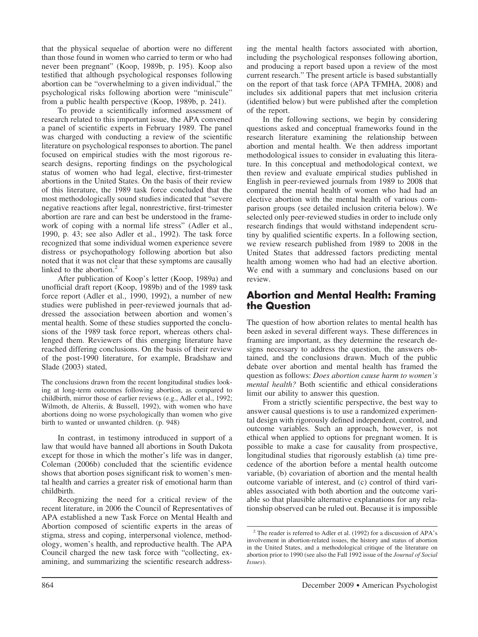that the physical sequelae of abortion were no different than those found in women who carried to term or who had never been pregnant" (Koop, 1989b, p. 195). Koop also testified that although psychological responses following abortion can be "overwhelming to a given individual," the psychological risks following abortion were "miniscule" from a public health perspective (Koop, 1989b, p. 241).

To provide a scientifically informed assessment of research related to this important issue, the APA convened a panel of scientific experts in February 1989. The panel was charged with conducting a review of the scientific literature on psychological responses to abortion. The panel focused on empirical studies with the most rigorous research designs, reporting findings on the psychological status of women who had legal, elective, first-trimester abortions in the United States. On the basis of their review of this literature, the 1989 task force concluded that the most methodologically sound studies indicated that "severe negative reactions after legal, nonrestrictive, first-trimester abortion are rare and can best be understood in the framework of coping with a normal life stress" (Adler et al., 1990, p. 43; see also Adler et al., 1992). The task force recognized that some individual women experience severe distress or psychopathology following abortion but also noted that it was not clear that these symptoms are causally linked to the abortion. $2$ 

After publication of Koop's letter (Koop, 1989a) and unofficial draft report (Koop, 1989b) and of the 1989 task force report (Adler et al., 1990, 1992), a number of new studies were published in peer-reviewed journals that addressed the association between abortion and women's mental health. Some of these studies supported the conclusions of the 1989 task force report, whereas others challenged them. Reviewers of this emerging literature have reached differing conclusions. On the basis of their review of the post-1990 literature, for example, Bradshaw and Slade (2003) stated,

The conclusions drawn from the recent longitudinal studies looking at long-term outcomes following abortion, as compared to childbirth, mirror those of earlier reviews (e.g., Adler et al., 1992; Wilmoth, de Alteriis, & Bussell, 1992), with women who have abortions doing no worse psychologically than women who give birth to wanted or unwanted children. (p. 948)

In contrast, in testimony introduced in support of a law that would have banned all abortions in South Dakota except for those in which the mother's life was in danger, Coleman (2006b) concluded that the scientific evidence shows that abortion poses significant risk to women's mental health and carries a greater risk of emotional harm than childbirth.

Recognizing the need for a critical review of the recent literature, in 2006 the Council of Representatives of APA established a new Task Force on Mental Health and Abortion composed of scientific experts in the areas of stigma, stress and coping, interpersonal violence, methodology, women's health, and reproductive health. The APA Council charged the new task force with "collecting, examining, and summarizing the scientific research addressing the mental health factors associated with abortion, including the psychological responses following abortion, and producing a report based upon a review of the most current research." The present article is based substantially on the report of that task force (APA TFMHA, 2008) and includes six additional papers that met inclusion criteria (identified below) but were published after the completion of the report.

In the following sections, we begin by considering questions asked and conceptual frameworks found in the research literature examining the relationship between abortion and mental health. We then address important methodological issues to consider in evaluating this literature. In this conceptual and methodological context, we then review and evaluate empirical studies published in English in peer-reviewed journals from 1989 to 2008 that compared the mental health of women who had had an elective abortion with the mental health of various comparison groups (see detailed inclusion criteria below). We selected only peer-reviewed studies in order to include only research findings that would withstand independent scrutiny by qualified scientific experts. In a following section, we review research published from 1989 to 2008 in the United States that addressed factors predicting mental health among women who had had an elective abortion. We end with a summary and conclusions based on our review.

### **Abortion and Mental Health: Framing the Question**

The question of how abortion relates to mental health has been asked in several different ways. These differences in framing are important, as they determine the research designs necessary to address the question, the answers obtained, and the conclusions drawn. Much of the public debate over abortion and mental health has framed the question as follows: *Does abortion cause harm to women's mental health?* Both scientific and ethical considerations limit our ability to answer this question.

From a strictly scientific perspective, the best way to answer causal questions is to use a randomized experimental design with rigorously defined independent, control, and outcome variables. Such an approach, however, is not ethical when applied to options for pregnant women. It is possible to make a case for causality from prospective, longitudinal studies that rigorously establish (a) time precedence of the abortion before a mental health outcome variable, (b) covariation of abortion and the mental health outcome variable of interest, and (c) control of third variables associated with both abortion and the outcome variable so that plausible alternative explanations for any relationship observed can be ruled out. Because it is impossible

 $2$  The reader is referred to Adler et al. (1992) for a discussion of APA's involvement in abortion-related issues, the history and status of abortion in the United States, and a methodological critique of the literature on abortion prior to 1990 (see also the Fall 1992 issue of the *Journal of Social Issues*).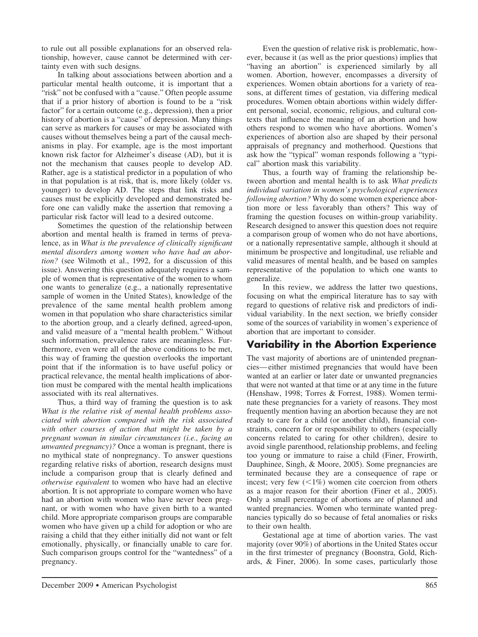to rule out all possible explanations for an observed relationship, however, cause cannot be determined with certainty even with such designs.

In talking about associations between abortion and a particular mental health outcome, it is important that a "risk" not be confused with a "cause." Often people assume that if a prior history of abortion is found to be a "risk factor" for a certain outcome (e.g., depression), then a prior history of abortion is a "cause" of depression. Many things can serve as markers for causes or may be associated with causes without themselves being a part of the causal mechanisms in play. For example, age is the most important known risk factor for Alzheimer's disease (AD), but it is not the mechanism that causes people to develop AD. Rather, age is a statistical predictor in a population of who in that population is at risk, that is, more likely (older vs. younger) to develop AD. The steps that link risks and causes must be explicitly developed and demonstrated before one can validly make the assertion that removing a particular risk factor will lead to a desired outcome.

Sometimes the question of the relationship between abortion and mental health is framed in terms of prevalence, as in *What is the prevalence of clinically significant mental disorders among women who have had an abortion?* (see Wilmoth et al., 1992, for a discussion of this issue). Answering this question adequately requires a sample of women that is representative of the women to whom one wants to generalize (e.g., a nationally representative sample of women in the United States), knowledge of the prevalence of the same mental health problem among women in that population who share characteristics similar to the abortion group, and a clearly defined, agreed-upon, and valid measure of a "mental health problem." Without such information, prevalence rates are meaningless. Furthermore, even were all of the above conditions to be met, this way of framing the question overlooks the important point that if the information is to have useful policy or practical relevance, the mental health implications of abortion must be compared with the mental health implications associated with its real alternatives.

Thus, a third way of framing the question is to ask *What is the relative risk of mental health problems associated with abortion compared with the risk associated with other courses of action that might be taken by a pregnant woman in similar circumstances (i.e., facing an unwanted pregnancy)?* Once a woman is pregnant, there is no mythical state of nonpregnancy. To answer questions regarding relative risks of abortion, research designs must include a comparison group that is clearly defined and *otherwise equivalent* to women who have had an elective abortion. It is not appropriate to compare women who have had an abortion with women who have never been pregnant, or with women who have given birth to a wanted child. More appropriate comparison groups are comparable women who have given up a child for adoption or who are raising a child that they either initially did not want or felt emotionally, physically, or financially unable to care for. Such comparison groups control for the "wantedness" of a pregnancy.

Even the question of relative risk is problematic, however, because it (as well as the prior questions) implies that "having an abortion" is experienced similarly by all women. Abortion, however, encompasses a diversity of experiences. Women obtain abortions for a variety of reasons, at different times of gestation, via differing medical procedures. Women obtain abortions within widely different personal, social, economic, religious, and cultural contexts that influence the meaning of an abortion and how others respond to women who have abortions. Women's experiences of abortion also are shaped by their personal appraisals of pregnancy and motherhood. Questions that ask how the "typical" woman responds following a "typical" abortion mask this variability.

Thus, a fourth way of framing the relationship between abortion and mental health is to ask *What predicts individual variation in women's psychological experiences following abortion?* Why do some women experience abortion more or less favorably than others? This way of framing the question focuses on within-group variability. Research designed to answer this question does not require a comparison group of women who do not have abortions, or a nationally representative sample, although it should at minimum be prospective and longitudinal, use reliable and valid measures of mental health, and be based on samples representative of the population to which one wants to generalize.

In this review, we address the latter two questions, focusing on what the empirical literature has to say with regard to questions of relative risk and predictors of individual variability. In the next section, we briefly consider some of the sources of variability in women's experience of abortion that are important to consider.

## **Variability in the Abortion Experience**

The vast majority of abortions are of unintended pregnancies—either mistimed pregnancies that would have been wanted at an earlier or later date or unwanted pregnancies that were not wanted at that time or at any time in the future (Henshaw, 1998; Torres & Forrest, 1988). Women terminate these pregnancies for a variety of reasons. They most frequently mention having an abortion because they are not ready to care for a child (or another child), financial constraints, concern for or responsibility to others (especially concerns related to caring for other children), desire to avoid single parenthood, relationship problems, and feeling too young or immature to raise a child (Finer, Frowirth, Dauphinee, Singh, & Moore, 2005). Some pregnancies are terminated because they are a consequence of rape or incest; very few  $(<1%)$  women cite coercion from others as a major reason for their abortion (Finer et al., 2005). Only a small percentage of abortions are of planned and wanted pregnancies. Women who terminate wanted pregnancies typically do so because of fetal anomalies or risks to their own health.

Gestational age at time of abortion varies. The vast majority (over 90%) of abortions in the United States occur in the first trimester of pregnancy (Boonstra, Gold, Richards, & Finer, 2006). In some cases, particularly those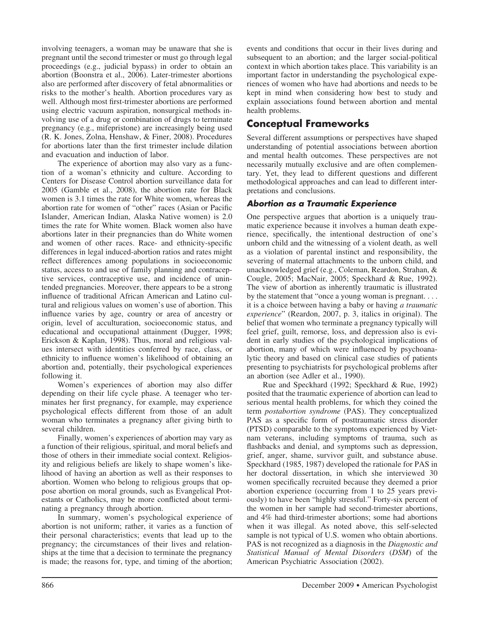involving teenagers, a woman may be unaware that she is pregnant until the second trimester or must go through legal proceedings (e.g., judicial bypass) in order to obtain an abortion (Boonstra et al., 2006). Later-trimester abortions also are performed after discovery of fetal abnormalities or risks to the mother's health. Abortion procedures vary as well. Although most first-trimester abortions are performed using electric vacuum aspiration, nonsurgical methods involving use of a drug or combination of drugs to terminate pregnancy (e.g., mifepristone) are increasingly being used (R. K. Jones, Zolna, Henshaw, & Finer, 2008). Procedures for abortions later than the first trimester include dilation and evacuation and induction of labor.

The experience of abortion may also vary as a function of a woman's ethnicity and culture. According to Centers for Disease Control abortion surveillance data for 2005 (Gamble et al., 2008), the abortion rate for Black women is 3.1 times the rate for White women, whereas the abortion rate for women of "other" races (Asian or Pacific Islander, American Indian, Alaska Native women) is 2.0 times the rate for White women. Black women also have abortions later in their pregnancies than do White women and women of other races. Race- and ethnicity-specific differences in legal induced-abortion ratios and rates might reflect differences among populations in socioeconomic status, access to and use of family planning and contraceptive services, contraceptive use, and incidence of unintended pregnancies. Moreover, there appears to be a strong influence of traditional African American and Latino cultural and religious values on women's use of abortion. This influence varies by age, country or area of ancestry or origin, level of acculturation, socioeconomic status, and educational and occupational attainment (Dugger, 1998; Erickson & Kaplan, 1998). Thus, moral and religious values intersect with identities conferred by race, class, or ethnicity to influence women's likelihood of obtaining an abortion and, potentially, their psychological experiences following it.

Women's experiences of abortion may also differ depending on their life cycle phase. A teenager who terminates her first pregnancy, for example, may experience psychological effects different from those of an adult woman who terminates a pregnancy after giving birth to several children.

Finally, women's experiences of abortion may vary as a function of their religious, spiritual, and moral beliefs and those of others in their immediate social context. Religiosity and religious beliefs are likely to shape women's likelihood of having an abortion as well as their responses to abortion. Women who belong to religious groups that oppose abortion on moral grounds, such as Evangelical Protestants or Catholics, may be more conflicted about terminating a pregnancy through abortion.

In summary, women's psychological experience of abortion is not uniform; rather, it varies as a function of their personal characteristics; events that lead up to the pregnancy; the circumstances of their lives and relationships at the time that a decision to terminate the pregnancy is made; the reasons for, type, and timing of the abortion;

events and conditions that occur in their lives during and subsequent to an abortion; and the larger social-political context in which abortion takes place. This variability is an important factor in understanding the psychological experiences of women who have had abortions and needs to be kept in mind when considering how best to study and explain associations found between abortion and mental health problems.

# **Conceptual Frameworks**

Several different assumptions or perspectives have shaped understanding of potential associations between abortion and mental health outcomes. These perspectives are not necessarily mutually exclusive and are often complementary. Yet, they lead to different questions and different methodological approaches and can lead to different interpretations and conclusions.

#### *Abortion as a Traumatic Experience*

One perspective argues that abortion is a uniquely traumatic experience because it involves a human death experience, specifically, the intentional destruction of one's unborn child and the witnessing of a violent death, as well as a violation of parental instinct and responsibility, the severing of maternal attachments to the unborn child, and unacknowledged grief (e.g., Coleman, Reardon, Strahan, & Cougle, 2005; MacNair, 2005; Speckhard & Rue, 1992). The view of abortion as inherently traumatic is illustrated by the statement that "once a young woman is pregnant.... it is a choice between having a baby or having *a traumatic experience*" (Reardon, 2007, p. 3, italics in original). The belief that women who terminate a pregnancy typically will feel grief, guilt, remorse, loss, and depression also is evident in early studies of the psychological implications of abortion, many of which were influenced by psychoanalytic theory and based on clinical case studies of patients presenting to psychiatrists for psychological problems after an abortion (see Adler et al., 1990).

Rue and Speckhard (1992; Speckhard & Rue, 1992) posited that the traumatic experience of abortion can lead to serious mental health problems, for which they coined the term *postabortion syndrome* (PAS). They conceptualized PAS as a specific form of posttraumatic stress disorder (PTSD) comparable to the symptoms experienced by Vietnam veterans, including symptoms of trauma, such as flashbacks and denial, and symptoms such as depression, grief, anger, shame, survivor guilt, and substance abuse. Speckhard (1985, 1987) developed the rationale for PAS in her doctoral dissertation, in which she interviewed 30 women specifically recruited because they deemed a prior abortion experience (occurring from 1 to 25 years previously) to have been "highly stressful." Forty-six percent of the women in her sample had second-trimester abortions, and 4% had third-trimester abortions; some had abortions when it was illegal. As noted above, this self-selected sample is not typical of U.S. women who obtain abortions. PAS is not recognized as a diagnosis in the *Diagnostic and Statistical Manual of Mental Disorders* (*DSM*) of the American Psychiatric Association (2002).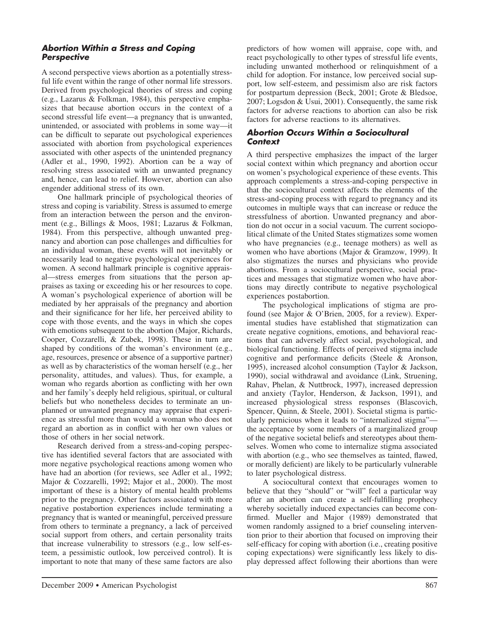#### *Abortion Within a Stress and Coping Perspective*

A second perspective views abortion as a potentially stressful life event within the range of other normal life stressors. Derived from psychological theories of stress and coping (e.g., Lazarus & Folkman, 1984), this perspective emphasizes that because abortion occurs in the context of a second stressful life event—a pregnancy that is unwanted, unintended, or associated with problems in some way—it can be difficult to separate out psychological experiences associated with abortion from psychological experiences associated with other aspects of the unintended pregnancy (Adler et al., 1990, 1992). Abortion can be a way of resolving stress associated with an unwanted pregnancy and, hence, can lead to relief. However, abortion can also engender additional stress of its own.

One hallmark principle of psychological theories of stress and coping is variability. Stress is assumed to emerge from an interaction between the person and the environment (e.g., Billings & Moos, 1981; Lazarus & Folkman, 1984). From this perspective, although unwanted pregnancy and abortion can pose challenges and difficulties for an individual woman, these events will not inevitably or necessarily lead to negative psychological experiences for women. A second hallmark principle is cognitive appraisal—stress emerges from situations that the person appraises as taxing or exceeding his or her resources to cope. A woman's psychological experience of abortion will be mediated by her appraisals of the pregnancy and abortion and their significance for her life, her perceived ability to cope with those events, and the ways in which she copes with emotions subsequent to the abortion (Major, Richards, Cooper, Cozzarelli, & Zubek, 1998). These in turn are shaped by conditions of the woman's environment (e.g., age, resources, presence or absence of a supportive partner) as well as by characteristics of the woman herself (e.g., her personality, attitudes, and values). Thus, for example, a woman who regards abortion as conflicting with her own and her family's deeply held religious, spiritual, or cultural beliefs but who nonetheless decides to terminate an unplanned or unwanted pregnancy may appraise that experience as stressful more than would a woman who does not regard an abortion as in conflict with her own values or those of others in her social network.

Research derived from a stress-and-coping perspective has identified several factors that are associated with more negative psychological reactions among women who have had an abortion (for reviews, see Adler et al., 1992; Major & Cozzarelli, 1992; Major et al., 2000). The most important of these is a history of mental health problems prior to the pregnancy. Other factors associated with more negative postabortion experiences include terminating a pregnancy that is wanted or meaningful, perceived pressure from others to terminate a pregnancy, a lack of perceived social support from others, and certain personality traits that increase vulnerability to stressors (e.g., low self-esteem, a pessimistic outlook, low perceived control). It is important to note that many of these same factors are also

predictors of how women will appraise, cope with, and react psychologically to other types of stressful life events, including unwanted motherhood or relinquishment of a child for adoption. For instance, low perceived social support, low self-esteem, and pessimism also are risk factors for postpartum depression (Beck, 2001; Grote & Bledsoe, 2007; Logsdon & Usui, 2001). Consequently, the same risk factors for adverse reactions to abortion can also be risk factors for adverse reactions to its alternatives.

#### *Abortion Occurs Within a Sociocultural Context*

A third perspective emphasizes the impact of the larger social context within which pregnancy and abortion occur on women's psychological experience of these events. This approach complements a stress-and-coping perspective in that the sociocultural context affects the elements of the stress-and-coping process with regard to pregnancy and its outcomes in multiple ways that can increase or reduce the stressfulness of abortion. Unwanted pregnancy and abortion do not occur in a social vacuum. The current sociopolitical climate of the United States stigmatizes some women who have pregnancies (e.g., teenage mothers) as well as women who have abortions (Major & Gramzow, 1999). It also stigmatizes the nurses and physicians who provide abortions. From a sociocultural perspective, social practices and messages that stigmatize women who have abortions may directly contribute to negative psychological experiences postabortion.

The psychological implications of stigma are profound (see Major & O'Brien, 2005, for a review). Experimental studies have established that stigmatization can create negative cognitions, emotions, and behavioral reactions that can adversely affect social, psychological, and biological functioning. Effects of perceived stigma include cognitive and performance deficits (Steele & Aronson, 1995), increased alcohol consumption (Taylor & Jackson, 1990), social withdrawal and avoidance (Link, Struening, Rahav, Phelan, & Nuttbrock, 1997), increased depression and anxiety (Taylor, Henderson, & Jackson, 1991), and increased physiological stress responses (Blascovich, Spencer, Quinn, & Steele, 2001). Societal stigma is particularly pernicious when it leads to "internalized stigma" the acceptance by some members of a marginalized group of the negative societal beliefs and stereotypes about themselves. Women who come to internalize stigma associated with abortion (e.g., who see themselves as tainted, flawed, or morally deficient) are likely to be particularly vulnerable to later psychological distress.

A sociocultural context that encourages women to believe that they "should" or "will" feel a particular way after an abortion can create a self-fulfilling prophecy whereby societally induced expectancies can become confirmed. Mueller and Major (1989) demonstrated that women randomly assigned to a brief counseling intervention prior to their abortion that focused on improving their self-efficacy for coping with abortion (i.e., creating positive coping expectations) were significantly less likely to display depressed affect following their abortions than were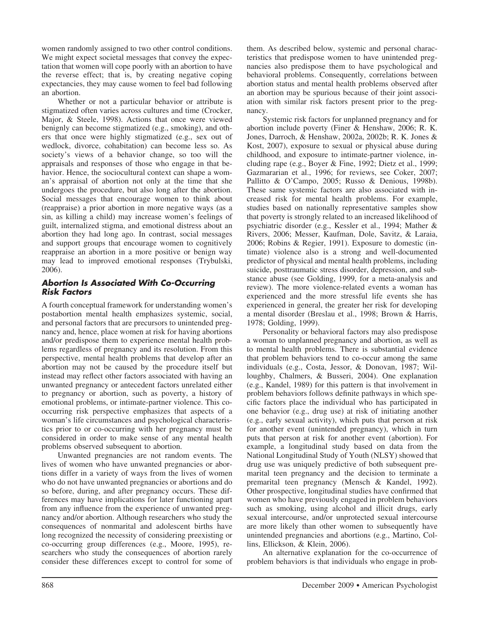women randomly assigned to two other control conditions. We might expect societal messages that convey the expectation that women will cope poorly with an abortion to have the reverse effect; that is, by creating negative coping expectancies, they may cause women to feel bad following an abortion.

Whether or not a particular behavior or attribute is stigmatized often varies across cultures and time (Crocker, Major, & Steele, 1998). Actions that once were viewed benignly can become stigmatized (e.g., smoking), and others that once were highly stigmatized (e.g., sex out of wedlock, divorce, cohabitation) can become less so. As society's views of a behavior change, so too will the appraisals and responses of those who engage in that behavior. Hence, the sociocultural context can shape a woman's appraisal of abortion not only at the time that she undergoes the procedure, but also long after the abortion. Social messages that encourage women to think about (reappraise) a prior abortion in more negative ways (as a sin, as killing a child) may increase women's feelings of guilt, internalized stigma, and emotional distress about an abortion they had long ago. In contrast, social messages and support groups that encourage women to cognitively reappraise an abortion in a more positive or benign way may lead to improved emotional responses (Trybulski, 2006).

#### *Abortion Is Associated With Co-Occurring Risk Factors*

A fourth conceptual framework for understanding women's postabortion mental health emphasizes systemic, social, and personal factors that are precursors to unintended pregnancy and, hence, place women at risk for having abortions and/or predispose them to experience mental health problems regardless of pregnancy and its resolution. From this perspective, mental health problems that develop after an abortion may not be caused by the procedure itself but instead may reflect other factors associated with having an unwanted pregnancy or antecedent factors unrelated either to pregnancy or abortion, such as poverty, a history of emotional problems, or intimate-partner violence. This cooccurring risk perspective emphasizes that aspects of a woman's life circumstances and psychological characteristics prior to or co-occurring with her pregnancy must be considered in order to make sense of any mental health problems observed subsequent to abortion.

Unwanted pregnancies are not random events. The lives of women who have unwanted pregnancies or abortions differ in a variety of ways from the lives of women who do not have unwanted pregnancies or abortions and do so before, during, and after pregnancy occurs. These differences may have implications for later functioning apart from any influence from the experience of unwanted pregnancy and/or abortion. Although researchers who study the consequences of nonmarital and adolescent births have long recognized the necessity of considering preexisting or co-occurring group differences (e.g., Moore, 1995), researchers who study the consequences of abortion rarely consider these differences except to control for some of them. As described below, systemic and personal characteristics that predispose women to have unintended pregnancies also predispose them to have psychological and behavioral problems. Consequently, correlations between abortion status and mental health problems observed after an abortion may be spurious because of their joint association with similar risk factors present prior to the pregnancy.

Systemic risk factors for unplanned pregnancy and for abortion include poverty (Finer & Henshaw, 2006; R. K. Jones, Darroch, & Henshaw, 2002a, 2002b; R. K. Jones & Kost, 2007), exposure to sexual or physical abuse during childhood, and exposure to intimate-partner violence, including rape (e.g., Boyer & Fine, 1992; Dietz et al., 1999; Gazmararian et al., 1996; for reviews, see Coker, 2007; Pallitto & O'Campo, 2005; Russo & Denious, 1998b). These same systemic factors are also associated with increased risk for mental health problems. For example, studies based on nationally representative samples show that poverty is strongly related to an increased likelihood of psychiatric disorder (e.g., Kessler et al., 1994; Mather & Rivers, 2006; Messer, Kaufman, Dole, Savitz, & Laraia, 2006; Robins & Regier, 1991). Exposure to domestic (intimate) violence also is a strong and well-documented predictor of physical and mental health problems, including suicide, posttraumatic stress disorder, depression, and substance abuse (see Golding, 1999, for a meta-analysis and review). The more violence-related events a woman has experienced and the more stressful life events she has experienced in general, the greater her risk for developing a mental disorder (Breslau et al., 1998; Brown & Harris, 1978; Golding, 1999).

Personality or behavioral factors may also predispose a woman to unplanned pregnancy and abortion, as well as to mental health problems. There is substantial evidence that problem behaviors tend to co-occur among the same individuals (e.g., Costa, Jessor, & Donovan, 1987; Willoughby, Chalmers, & Busseri, 2004). One explanation (e.g., Kandel, 1989) for this pattern is that involvement in problem behaviors follows definite pathways in which specific factors place the individual who has participated in one behavior (e.g., drug use) at risk of initiating another (e.g., early sexual activity), which puts that person at risk for another event (unintended pregnancy), which in turn puts that person at risk for another event (abortion). For example, a longitudinal study based on data from the National Longitudinal Study of Youth (NLSY) showed that drug use was uniquely predictive of both subsequent premarital teen pregnancy and the decision to terminate a premarital teen pregnancy (Mensch & Kandel, 1992). Other prospective, longitudinal studies have confirmed that women who have previously engaged in problem behaviors such as smoking, using alcohol and illicit drugs, early sexual intercourse, and/or unprotected sexual intercourse are more likely than other women to subsequently have unintended pregnancies and abortions (e.g., Martino, Collins, Ellickson, & Klein, 2006).

An alternative explanation for the co-occurrence of problem behaviors is that individuals who engage in prob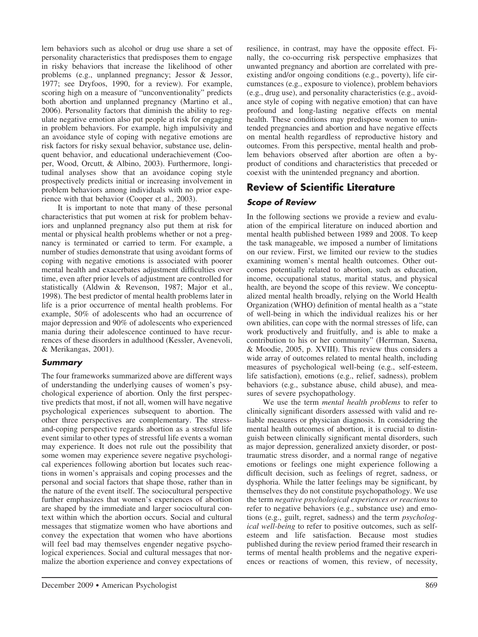lem behaviors such as alcohol or drug use share a set of personality characteristics that predisposes them to engage in risky behaviors that increase the likelihood of other problems (e.g., unplanned pregnancy; Jessor & Jessor, 1977; see Dryfoos, 1990, for a review). For example, scoring high on a measure of "unconventionality" predicts both abortion and unplanned pregnancy (Martino et al., 2006). Personality factors that diminish the ability to regulate negative emotion also put people at risk for engaging in problem behaviors. For example, high impulsivity and an avoidance style of coping with negative emotions are risk factors for risky sexual behavior, substance use, delinquent behavior, and educational underachievement (Cooper, Wood, Orcutt, & Albino, 2003). Furthermore, longitudinal analyses show that an avoidance coping style prospectively predicts initial or increasing involvement in problem behaviors among individuals with no prior experience with that behavior (Cooper et al., 2003).

It is important to note that many of these personal characteristics that put women at risk for problem behaviors and unplanned pregnancy also put them at risk for mental or physical health problems whether or not a pregnancy is terminated or carried to term. For example, a number of studies demonstrate that using avoidant forms of coping with negative emotions is associated with poorer mental health and exacerbates adjustment difficulties over time, even after prior levels of adjustment are controlled for statistically (Aldwin & Revenson, 1987; Major et al., 1998). The best predictor of mental health problems later in life is a prior occurrence of mental health problems. For example, 50% of adolescents who had an occurrence of major depression and 90% of adolescents who experienced mania during their adolescence continued to have recurrences of these disorders in adulthood (Kessler, Avenevoli, & Merikangas, 2001).

#### *Summary*

The four frameworks summarized above are different ways of understanding the underlying causes of women's psychological experience of abortion. Only the first perspective predicts that most, if not all, women will have negative psychological experiences subsequent to abortion. The other three perspectives are complementary. The stressand-coping perspective regards abortion as a stressful life event similar to other types of stressful life events a woman may experience. It does not rule out the possibility that some women may experience severe negative psychological experiences following abortion but locates such reactions in women's appraisals and coping processes and the personal and social factors that shape those, rather than in the nature of the event itself. The sociocultural perspective further emphasizes that women's experiences of abortion are shaped by the immediate and larger sociocultural context within which the abortion occurs. Social and cultural messages that stigmatize women who have abortions and convey the expectation that women who have abortions will feel bad may themselves engender negative psychological experiences. Social and cultural messages that normalize the abortion experience and convey expectations of resilience, in contrast, may have the opposite effect. Finally, the co-occurring risk perspective emphasizes that unwanted pregnancy and abortion are correlated with preexisting and/or ongoing conditions (e.g., poverty), life circumstances (e.g., exposure to violence), problem behaviors (e.g., drug use), and personality characteristics (e.g., avoidance style of coping with negative emotion) that can have profound and long-lasting negative effects on mental health. These conditions may predispose women to unintended pregnancies and abortion and have negative effects on mental health regardless of reproductive history and outcomes. From this perspective, mental health and problem behaviors observed after abortion are often a byproduct of conditions and characteristics that preceded or coexist with the unintended pregnancy and abortion.

# **Review of Scientific Literature**

### *Scope of Review*

In the following sections we provide a review and evaluation of the empirical literature on induced abortion and mental health published between 1989 and 2008. To keep the task manageable, we imposed a number of limitations on our review. First, we limited our review to the studies examining women's mental health outcomes. Other outcomes potentially related to abortion, such as education, income, occupational status, marital status, and physical health, are beyond the scope of this review. We conceptualized mental health broadly, relying on the World Health Organization (WHO) definition of mental health as a "state of well-being in which the individual realizes his or her own abilities, can cope with the normal stresses of life, can work productively and fruitfully, and is able to make a contribution to his or her community" (Herrman, Saxena, & Moodie, 2005, p. XVIII). This review thus considers a wide array of outcomes related to mental health, including measures of psychological well-being (e.g., self-esteem, life satisfaction), emotions (e.g., relief, sadness), problem behaviors (e.g., substance abuse, child abuse), and measures of severe psychopathology.

We use the term *mental health problems* to refer to clinically significant disorders assessed with valid and reliable measures or physician diagnosis. In considering the mental health outcomes of abortion, it is crucial to distinguish between clinically significant mental disorders, such as major depression, generalized anxiety disorder, or posttraumatic stress disorder, and a normal range of negative emotions or feelings one might experience following a difficult decision, such as feelings of regret, sadness, or dysphoria. While the latter feelings may be significant, by themselves they do not constitute psychopathology. We use the term *negative psychological experiences or reactions* to refer to negative behaviors (e.g., substance use) and emotions (e.g., guilt, regret, sadness) and the term *psychological well-being* to refer to positive outcomes, such as selfesteem and life satisfaction. Because most studies published during the review period framed their research in terms of mental health problems and the negative experiences or reactions of women, this review, of necessity,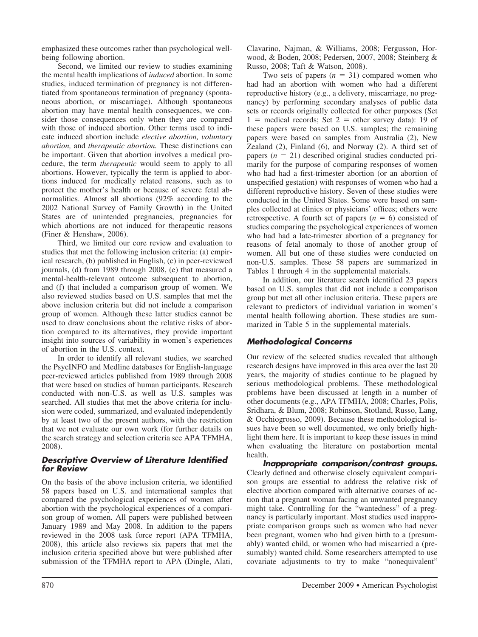emphasized these outcomes rather than psychological wellbeing following abortion.

Second, we limited our review to studies examining the mental health implications of *induced* abortion. In some studies, induced termination of pregnancy is not differentiated from spontaneous termination of pregnancy (spontaneous abortion, or miscarriage). Although spontaneous abortion may have mental health consequences, we consider those consequences only when they are compared with those of induced abortion. Other terms used to indicate induced abortion include *elective abortion, voluntary abortion,* and *therapeutic abortion.* These distinctions can be important. Given that abortion involves a medical procedure, the term *therapeutic* would seem to apply to all abortions. However, typically the term is applied to abortions induced for medically related reasons, such as to protect the mother's health or because of severe fetal abnormalities. Almost all abortions (92% according to the 2002 National Survey of Family Growth) in the United States are of unintended pregnancies, pregnancies for which abortions are not induced for therapeutic reasons (Finer & Henshaw, 2006).

Third, we limited our core review and evaluation to studies that met the following inclusion criteria: (a) empirical research, (b) published in English, (c) in peer-reviewed journals, (d) from 1989 through 2008, (e) that measured a mental-health-relevant outcome subsequent to abortion, and (f) that included a comparison group of women. We also reviewed studies based on U.S. samples that met the above inclusion criteria but did not include a comparison group of women. Although these latter studies cannot be used to draw conclusions about the relative risks of abortion compared to its alternatives, they provide important insight into sources of variability in women's experiences of abortion in the U.S. context.

In order to identify all relevant studies, we searched the PsycINFO and Medline databases for English-language peer-reviewed articles published from 1989 through 2008 that were based on studies of human participants. Research conducted with non-U.S. as well as U.S. samples was searched. All studies that met the above criteria for inclusion were coded, summarized, and evaluated independently by at least two of the present authors, with the restriction that we not evaluate our own work (for further details on the search strategy and selection criteria see APA TFMHA, 2008).

#### *Descriptive Overview of Literature Identified for Review*

On the basis of the above inclusion criteria, we identified 58 papers based on U.S. and international samples that compared the psychological experiences of women after abortion with the psychological experiences of a comparison group of women. All papers were published between January 1989 and May 2008. In addition to the papers reviewed in the 2008 task force report (APA TFMHA, 2008), this article also reviews six papers that met the inclusion criteria specified above but were published after submission of the TFMHA report to APA (Dingle, Alati,

Clavarino, Najman, & Williams, 2008; Fergusson, Horwood, & Boden, 2008; Pedersen, 2007, 2008; Steinberg & Russo, 2008; Taft & Watson, 2008).

Two sets of papers  $(n = 31)$  compared women who had had an abortion with women who had a different reproductive history (e.g., a delivery, miscarriage, no pregnancy) by performing secondary analyses of public data sets or records originally collected for other purposes (Set  $1 =$  medical records; Set  $2 =$  other survey data): 19 of these papers were based on U.S. samples; the remaining papers were based on samples from Australia (2), New Zealand (2), Finland (6), and Norway (2). A third set of papers  $(n = 21)$  described original studies conducted primarily for the purpose of comparing responses of women who had had a first-trimester abortion (or an abortion of unspecified gestation) with responses of women who had a different reproductive history. Seven of these studies were conducted in the United States. Some were based on samples collected at clinics or physicians' offices; others were retrospective. A fourth set of papers  $(n = 6)$  consisted of studies comparing the psychological experiences of women who had had a late-trimester abortion of a pregnancy for reasons of fetal anomaly to those of another group of women. All but one of these studies were conducted on non-U.S. samples. These 58 papers are summarized in Tables 1 through 4 in the supplemental materials.

In addition, our literature search identified 23 papers based on U.S. samples that did not include a comparison group but met all other inclusion criteria. These papers are relevant to predictors of individual variation in women's mental health following abortion. These studies are summarized in Table 5 in the supplemental materials.

#### *Methodological Concerns*

Our review of the selected studies revealed that although research designs have improved in this area over the last 20 years, the majority of studies continue to be plagued by serious methodological problems. These methodological problems have been discussed at length in a number of other documents (e.g., APA TFMHA, 2008; Charles, Polis, Sridhara, & Blum, 2008; Robinson, Stotland, Russo, Lang, & Occhiogrosso, 2009). Because these methodological issues have been so well documented, we only briefly highlight them here. It is important to keep these issues in mind when evaluating the literature on postabortion mental health.

*Inappropriate comparison/contrast groups.* Clearly defined and otherwise closely equivalent comparison groups are essential to address the relative risk of elective abortion compared with alternative courses of action that a pregnant woman facing an unwanted pregnancy might take. Controlling for the "wantedness" of a pregnancy is particularly important. Most studies used inappropriate comparison groups such as women who had never been pregnant, women who had given birth to a (presumably) wanted child, or women who had miscarried a (presumably) wanted child. Some researchers attempted to use covariate adjustments to try to make "nonequivalent"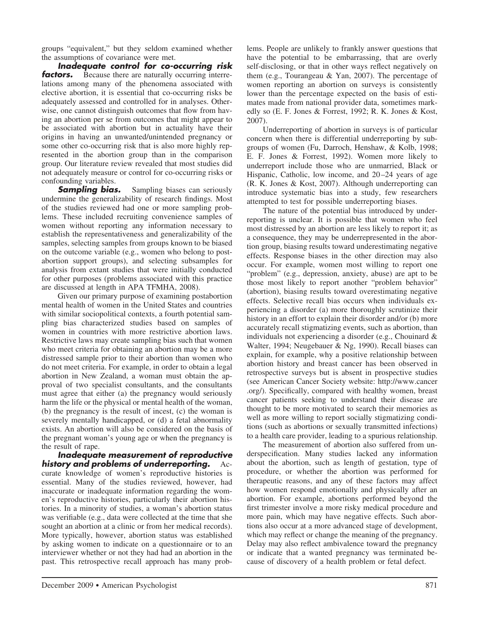groups "equivalent," but they seldom examined whether the assumptions of covariance were met.

*Inadequate control for co-occurring risk factors.* Because there are naturally occurring interrelations among many of the phenomena associated with elective abortion, it is essential that co-occurring risks be adequately assessed and controlled for in analyses. Otherwise, one cannot distinguish outcomes that flow from having an abortion per se from outcomes that might appear to be associated with abortion but in actuality have their origins in having an unwanted/unintended pregnancy or some other co-occurring risk that is also more highly represented in the abortion group than in the comparison group. Our literature review revealed that most studies did not adequately measure or control for co-occurring risks or confounding variables.

**Sampling bias.** Sampling biases can seriously undermine the generalizability of research findings. Most of the studies reviewed had one or more sampling problems. These included recruiting convenience samples of women without reporting any information necessary to establish the representativeness and generalizability of the samples, selecting samples from groups known to be biased on the outcome variable (e.g., women who belong to postabortion support groups), and selecting subsamples for analysis from extant studies that were initially conducted for other purposes (problems associated with this practice are discussed at length in APA TFMHA, 2008).

Given our primary purpose of examining postabortion mental health of women in the United States and countries with similar sociopolitical contexts, a fourth potential sampling bias characterized studies based on samples of women in countries with more restrictive abortion laws. Restrictive laws may create sampling bias such that women who meet criteria for obtaining an abortion may be a more distressed sample prior to their abortion than women who do not meet criteria. For example, in order to obtain a legal abortion in New Zealand, a woman must obtain the approval of two specialist consultants, and the consultants must agree that either (a) the pregnancy would seriously harm the life or the physical or mental health of the woman, (b) the pregnancy is the result of incest, (c) the woman is severely mentally handicapped, or (d) a fetal abnormality exists. An abortion will also be considered on the basis of the pregnant woman's young age or when the pregnancy is the result of rape.

*Inadequate measurement of reproductive history and problems of underreporting.* Accurate knowledge of women's reproductive histories is essential. Many of the studies reviewed, however, had inaccurate or inadequate information regarding the women's reproductive histories, particularly their abortion histories. In a minority of studies, a woman's abortion status was verifiable (e.g., data were collected at the time that she sought an abortion at a clinic or from her medical records). More typically, however, abortion status was established by asking women to indicate on a questionnaire or to an interviewer whether or not they had had an abortion in the past. This retrospective recall approach has many problems. People are unlikely to frankly answer questions that have the potential to be embarrassing, that are overly self-disclosing, or that in other ways reflect negatively on them (e.g., Tourangeau & Yan, 2007). The percentage of women reporting an abortion on surveys is consistently lower than the percentage expected on the basis of estimates made from national provider data, sometimes markedly so (E. F. Jones & Forrest, 1992; R. K. Jones & Kost, 2007).

Underreporting of abortion in surveys is of particular concern when there is differential underreporting by subgroups of women (Fu, Darroch, Henshaw, & Kolb, 1998; E. F. Jones & Forrest, 1992). Women more likely to underreport include those who are unmarried, Black or Hispanic, Catholic, low income, and 20–24 years of age (R. K. Jones & Kost, 2007). Although underreporting can introduce systematic bias into a study, few researchers attempted to test for possible underreporting biases.

The nature of the potential bias introduced by underreporting is unclear. It is possible that women who feel most distressed by an abortion are less likely to report it; as a consequence, they may be underrepresented in the abortion group, biasing results toward underestimating negative effects. Response biases in the other direction may also occur. For example, women most willing to report one "problem" (e.g., depression, anxiety, abuse) are apt to be those most likely to report another "problem behavior" (abortion), biasing results toward overestimating negative effects. Selective recall bias occurs when individuals experiencing a disorder (a) more thoroughly scrutinize their history in an effort to explain their disorder and/or (b) more accurately recall stigmatizing events, such as abortion, than individuals not experiencing a disorder (e.g., Chouinard & Walter, 1994; Neugebauer & Ng, 1990). Recall biases can explain, for example, why a positive relationship between abortion history and breast cancer has been observed in retrospective surveys but is absent in prospective studies (see American Cancer Society website: http://www.cancer .org/). Specifically, compared with healthy women, breast cancer patients seeking to understand their disease are thought to be more motivated to search their memories as well as more willing to report socially stigmatizing conditions (such as abortions or sexually transmitted infections) to a health care provider, leading to a spurious relationship.

The measurement of abortion also suffered from underspecification. Many studies lacked any information about the abortion, such as length of gestation, type of procedure, or whether the abortion was performed for therapeutic reasons, and any of these factors may affect how women respond emotionally and physically after an abortion. For example, abortions performed beyond the first trimester involve a more risky medical procedure and more pain, which may have negative effects. Such abortions also occur at a more advanced stage of development, which may reflect or change the meaning of the pregnancy. Delay may also reflect ambivalence toward the pregnancy or indicate that a wanted pregnancy was terminated because of discovery of a health problem or fetal defect.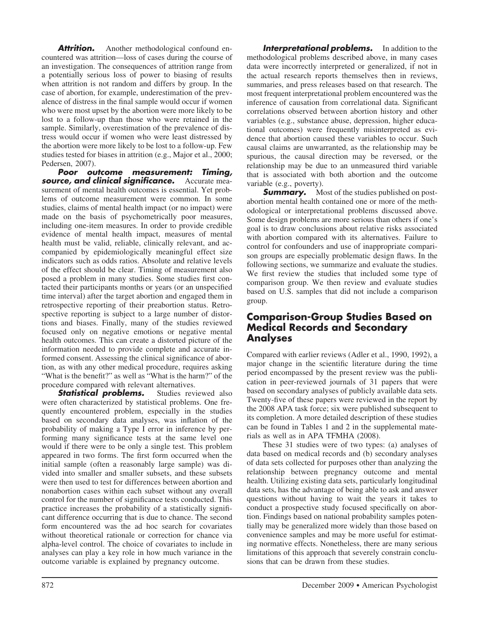**Attrition.** Another methodological confound encountered was attrition—loss of cases during the course of an investigation. The consequences of attrition range from a potentially serious loss of power to biasing of results when attrition is not random and differs by group. In the case of abortion, for example, underestimation of the prevalence of distress in the final sample would occur if women who were most upset by the abortion were more likely to be lost to a follow-up than those who were retained in the sample. Similarly, overestimation of the prevalence of distress would occur if women who were least distressed by the abortion were more likely to be lost to a follow-up. Few studies tested for biases in attrition (e.g., Major et al., 2000; Pedersen, 2007).

*Poor outcome measurement: Timing,* **source, and clinical significance.** Accurate measurement of mental health outcomes is essential. Yet problems of outcome measurement were common. In some studies, claims of mental health impact (or no impact) were made on the basis of psychometrically poor measures, including one-item measures. In order to provide credible evidence of mental health impact, measures of mental health must be valid, reliable, clinically relevant, and accompanied by epidemiologically meaningful effect size indicators such as odds ratios. Absolute and relative levels of the effect should be clear. Timing of measurement also posed a problem in many studies. Some studies first contacted their participants months or years (or an unspecified time interval) after the target abortion and engaged them in retrospective reporting of their preabortion status. Retrospective reporting is subject to a large number of distortions and biases. Finally, many of the studies reviewed focused only on negative emotions or negative mental health outcomes. This can create a distorted picture of the information needed to provide complete and accurate informed consent. Assessing the clinical significance of abortion, as with any other medical procedure, requires asking "What is the benefit?" as well as "What is the harm?" of the procedure compared with relevant alternatives.

**Statistical problems.** Studies reviewed also were often characterized by statistical problems. One frequently encountered problem, especially in the studies based on secondary data analyses, was inflation of the probability of making a Type I error in inference by performing many significance tests at the same level one would if there were to be only a single test. This problem appeared in two forms. The first form occurred when the initial sample (often a reasonably large sample) was divided into smaller and smaller subsets, and these subsets were then used to test for differences between abortion and nonabortion cases within each subset without any overall control for the number of significance tests conducted. This practice increases the probability of a statistically significant difference occurring that is due to chance. The second form encountered was the ad hoc search for covariates without theoretical rationale or correction for chance via alpha-level control. The choice of covariates to include in analyses can play a key role in how much variance in the outcome variable is explained by pregnancy outcome.

**Interpretational problems.** In addition to the methodological problems described above, in many cases data were incorrectly interpreted or generalized, if not in the actual research reports themselves then in reviews, summaries, and press releases based on that research. The most frequent interpretational problem encountered was the inference of causation from correlational data. Significant correlations observed between abortion history and other variables (e.g., substance abuse, depression, higher educational outcomes) were frequently misinterpreted as evidence that abortion caused these variables to occur. Such causal claims are unwarranted, as the relationship may be spurious, the causal direction may be reversed, or the relationship may be due to an unmeasured third variable that is associated with both abortion and the outcome variable (e.g., poverty).

**Summary.** Most of the studies published on postabortion mental health contained one or more of the methodological or interpretational problems discussed above. Some design problems are more serious than others if one's goal is to draw conclusions about relative risks associated with abortion compared with its alternatives. Failure to control for confounders and use of inappropriate comparison groups are especially problematic design flaws. In the following sections, we summarize and evaluate the studies. We first review the studies that included some type of comparison group. We then review and evaluate studies based on U.S. samples that did not include a comparison group.

### **Comparison-Group Studies Based on Medical Records and Secondary Analyses**

Compared with earlier reviews (Adler et al., 1990, 1992), a major change in the scientific literature during the time period encompassed by the present review was the publication in peer-reviewed journals of 31 papers that were based on secondary analyses of publicly available data sets. Twenty-five of these papers were reviewed in the report by the 2008 APA task force; six were published subsequent to its completion. A more detailed description of these studies can be found in Tables 1 and 2 in the supplemental materials as well as in APA TFMHA (2008).

These 31 studies were of two types: (a) analyses of data based on medical records and (b) secondary analyses of data sets collected for purposes other than analyzing the relationship between pregnancy outcome and mental health. Utilizing existing data sets, particularly longitudinal data sets, has the advantage of being able to ask and answer questions without having to wait the years it takes to conduct a prospective study focused specifically on abortion. Findings based on national probability samples potentially may be generalized more widely than those based on convenience samples and may be more useful for estimating normative effects. Nonetheless, there are many serious limitations of this approach that severely constrain conclusions that can be drawn from these studies.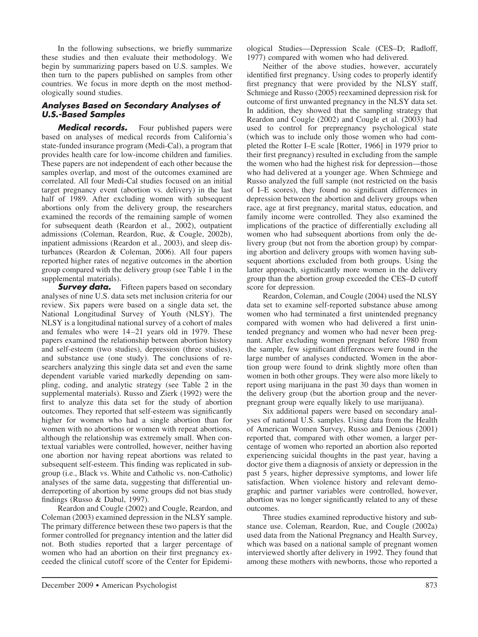In the following subsections, we briefly summarize these studies and then evaluate their methodology. We begin by summarizing papers based on U.S. samples. We then turn to the papers published on samples from other countries. We focus in more depth on the most methodologically sound studies.

#### *Analyses Based on Secondary Analyses of U.S.-Based Samples*

*Medical records.* Four published papers were based on analyses of medical records from California's state-funded insurance program (Medi-Cal), a program that provides health care for low-income children and families. These papers are not independent of each other because the samples overlap, and most of the outcomes examined are correlated. All four Medi-Cal studies focused on an initial target pregnancy event (abortion vs. delivery) in the last half of 1989. After excluding women with subsequent abortions only from the delivery group, the researchers examined the records of the remaining sample of women for subsequent death (Reardon et al., 2002), outpatient admissions (Coleman, Reardon, Rue, & Cougle, 2002b), inpatient admissions (Reardon et al., 2003), and sleep disturbances (Reardon & Coleman, 2006). All four papers reported higher rates of negative outcomes in the abortion group compared with the delivery group (see Table 1 in the supplemental materials).

**Survey data.** Fifteen papers based on secondary analyses of nine U.S. data sets met inclusion criteria for our review. Six papers were based on a single data set, the National Longitudinal Survey of Youth (NLSY). The NLSY is a longitudinal national survey of a cohort of males and females who were 14–21 years old in 1979. These papers examined the relationship between abortion history and self-esteem (two studies), depression (three studies), and substance use (one study). The conclusions of researchers analyzing this single data set and even the same dependent variable varied markedly depending on sampling, coding, and analytic strategy (see Table 2 in the supplemental materials). Russo and Zierk (1992) were the first to analyze this data set for the study of abortion outcomes. They reported that self-esteem was significantly higher for women who had a single abortion than for women with no abortions or women with repeat abortions, although the relationship was extremely small. When contextual variables were controlled, however, neither having one abortion nor having repeat abortions was related to subsequent self-esteem. This finding was replicated in subgroup (i.e., Black vs. White and Catholic vs. non-Catholic) analyses of the same data, suggesting that differential underreporting of abortion by some groups did not bias study findings (Russo & Dabul, 1997).

Reardon and Cougle (2002) and Cougle, Reardon, and Coleman (2003) examined depression in the NLSY sample. The primary difference between these two papers is that the former controlled for pregnancy intention and the latter did not. Both studies reported that a larger percentage of women who had an abortion on their first pregnancy exceeded the clinical cutoff score of the Center for Epidemiological Studies—Depression Scale (CES–D; Radloff, 1977) compared with women who had delivered.

Neither of the above studies, however, accurately identified first pregnancy. Using codes to properly identify first pregnancy that were provided by the NLSY staff, Schmiege and Russo (2005) reexamined depression risk for outcome of first unwanted pregnancy in the NLSY data set. In addition, they showed that the sampling strategy that Reardon and Cougle (2002) and Cougle et al. (2003) had used to control for prepregnancy psychological state (which was to include only those women who had completed the Rotter I–E scale [Rotter, 1966] in 1979 prior to their first pregnancy) resulted in excluding from the sample the women who had the highest risk for depression—those who had delivered at a younger age. When Schmiege and Russo analyzed the full sample (not restricted on the basis of I–E scores), they found no significant differences in depression between the abortion and delivery groups when race, age at first pregnancy, marital status, education, and family income were controlled. They also examined the implications of the practice of differentially excluding all women who had subsequent abortions from only the delivery group (but not from the abortion group) by comparing abortion and delivery groups with women having subsequent abortions excluded from both groups. Using the latter approach, significantly more women in the delivery group than the abortion group exceeded the CES–D cutoff score for depression.

Reardon, Coleman, and Cougle (2004) used the NLSY data set to examine self-reported substance abuse among women who had terminated a first unintended pregnancy compared with women who had delivered a first unintended pregnancy and women who had never been pregnant. After excluding women pregnant before 1980 from the sample, few significant differences were found in the large number of analyses conducted. Women in the abortion group were found to drink slightly more often than women in both other groups. They were also more likely to report using marijuana in the past 30 days than women in the delivery group (but the abortion group and the neverpregnant group were equally likely to use marijuana).

Six additional papers were based on secondary analyses of national U.S. samples. Using data from the Health of American Women Survey, Russo and Denious (2001) reported that, compared with other women, a larger percentage of women who reported an abortion also reported experiencing suicidal thoughts in the past year, having a doctor give them a diagnosis of anxiety or depression in the past 5 years, higher depressive symptoms, and lower life satisfaction. When violence history and relevant demographic and partner variables were controlled, however, abortion was no longer significantly related to any of these outcomes.

Three studies examined reproductive history and substance use. Coleman, Reardon, Rue, and Cougle (2002a) used data from the National Pregnancy and Health Survey, which was based on a national sample of pregnant women interviewed shortly after delivery in 1992. They found that among these mothers with newborns, those who reported a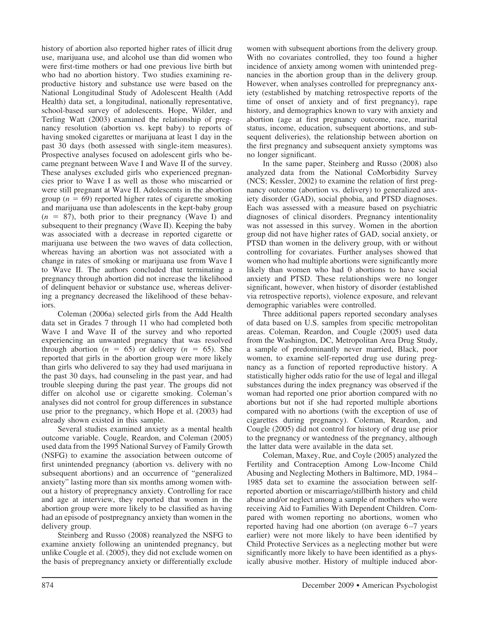history of abortion also reported higher rates of illicit drug use, marijuana use, and alcohol use than did women who were first-time mothers or had one previous live birth but who had no abortion history. Two studies examining reproductive history and substance use were based on the National Longitudinal Study of Adolescent Health (Add Health) data set, a longitudinal, nationally representative, school-based survey of adolescents. Hope, Wilder, and Terling Watt (2003) examined the relationship of pregnancy resolution (abortion vs. kept baby) to reports of having smoked cigarettes or marijuana at least 1 day in the past 30 days (both assessed with single-item measures). Prospective analyses focused on adolescent girls who became pregnant between Wave I and Wave II of the survey. These analyses excluded girls who experienced pregnancies prior to Wave I as well as those who miscarried or were still pregnant at Wave II. Adolescents in the abortion group ( $n = 69$ ) reported higher rates of cigarette smoking and marijuana use than adolescents in the kept-baby group  $(n = 87)$ , both prior to their pregnancy (Wave I) and subsequent to their pregnancy (Wave II). Keeping the baby was associated with a decrease in reported cigarette or marijuana use between the two waves of data collection, whereas having an abortion was not associated with a change in rates of smoking or marijuana use from Wave I to Wave II. The authors concluded that terminating a pregnancy through abortion did not increase the likelihood of delinquent behavior or substance use, whereas delivering a pregnancy decreased the likelihood of these behaviors.

Coleman (2006a) selected girls from the Add Health data set in Grades 7 through 11 who had completed both Wave I and Wave II of the survey and who reported experiencing an unwanted pregnancy that was resolved through abortion  $(n = 65)$  or delivery  $(n = 65)$ . She reported that girls in the abortion group were more likely than girls who delivered to say they had used marijuana in the past 30 days, had counseling in the past year, and had trouble sleeping during the past year. The groups did not differ on alcohol use or cigarette smoking. Coleman's analyses did not control for group differences in substance use prior to the pregnancy, which Hope et al. (2003) had already shown existed in this sample.

Several studies examined anxiety as a mental health outcome variable. Cougle, Reardon, and Coleman (2005) used data from the 1995 National Survey of Family Growth (NSFG) to examine the association between outcome of first unintended pregnancy (abortion vs. delivery with no subsequent abortions) and an occurrence of "generalized anxiety" lasting more than six months among women without a history of prepregnancy anxiety. Controlling for race and age at interview, they reported that women in the abortion group were more likely to be classified as having had an episode of postpregnancy anxiety than women in the delivery group.

Steinberg and Russo (2008) reanalyzed the NSFG to examine anxiety following an unintended pregnancy, but unlike Cougle et al. (2005), they did not exclude women on the basis of prepregnancy anxiety or differentially exclude women with subsequent abortions from the delivery group. With no covariates controlled, they too found a higher incidence of anxiety among women with unintended pregnancies in the abortion group than in the delivery group. However, when analyses controlled for prepregnancy anxiety (established by matching retrospective reports of the time of onset of anxiety and of first pregnancy), rape history, and demographics known to vary with anxiety and abortion (age at first pregnancy outcome, race, marital status, income, education, subsequent abortions, and subsequent deliveries), the relationship between abortion on the first pregnancy and subsequent anxiety symptoms was no longer significant.

In the same paper, Steinberg and Russo (2008) also analyzed data from the National CoMorbidity Survey (NCS; Kessler, 2002) to examine the relation of first pregnancy outcome (abortion vs. delivery) to generalized anxiety disorder (GAD), social phobia, and PTSD diagnoses. Each was assessed with a measure based on psychiatric diagnoses of clinical disorders. Pregnancy intentionality was not assessed in this survey. Women in the abortion group did not have higher rates of GAD, social anxiety, or PTSD than women in the delivery group, with or without controlling for covariates. Further analyses showed that women who had multiple abortions were significantly more likely than women who had 0 abortions to have social anxiety and PTSD. These relationships were no longer significant, however, when history of disorder (established via retrospective reports), violence exposure, and relevant demographic variables were controlled.

Three additional papers reported secondary analyses of data based on U.S. samples from specific metropolitan areas. Coleman, Reardon, and Cougle (2005) used data from the Washington, DC, Metropolitan Area Drug Study, a sample of predominantly never married, Black, poor women, to examine self-reported drug use during pregnancy as a function of reported reproductive history. A statistically higher odds ratio for the use of legal and illegal substances during the index pregnancy was observed if the woman had reported one prior abortion compared with no abortions but not if she had reported multiple abortions compared with no abortions (with the exception of use of cigarettes during pregnancy). Coleman, Reardon, and Cougle (2005) did not control for history of drug use prior to the pregnancy or wantedness of the pregnancy, although the latter data were available in the data set.

Coleman, Maxey, Rue, and Coyle (2005) analyzed the Fertility and Contraception Among Low-Income Child Abusing and Neglecting Mothers in Baltimore, MD, 1984– 1985 data set to examine the association between selfreported abortion or miscarriage/stillbirth history and child abuse and/or neglect among a sample of mothers who were receiving Aid to Families With Dependent Children. Compared with women reporting no abortions, women who reported having had one abortion (on average 6–7 years earlier) were not more likely to have been identified by Child Protective Services as a neglecting mother but were significantly more likely to have been identified as a physically abusive mother. History of multiple induced abor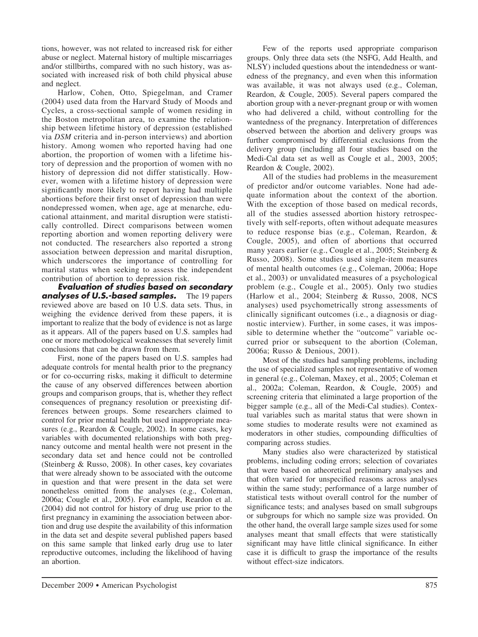tions, however, was not related to increased risk for either abuse or neglect. Maternal history of multiple miscarriages and/or stillbirths, compared with no such history, was associated with increased risk of both child physical abuse and neglect.

Harlow, Cohen, Otto, Spiegelman, and Cramer (2004) used data from the Harvard Study of Moods and Cycles, a cross-sectional sample of women residing in the Boston metropolitan area, to examine the relationship between lifetime history of depression (established via *DSM* criteria and in-person interviews) and abortion history. Among women who reported having had one abortion, the proportion of women with a lifetime history of depression and the proportion of women with no history of depression did not differ statistically. However, women with a lifetime history of depression were significantly more likely to report having had multiple abortions before their first onset of depression than were nondepressed women, when age, age at menarche, educational attainment, and marital disruption were statistically controlled. Direct comparisons between women reporting abortion and women reporting delivery were not conducted. The researchers also reported a strong association between depression and marital disruption, which underscores the importance of controlling for marital status when seeking to assess the independent contribution of abortion to depression risk.

*Evaluation of studies based on secondary analyses of U.S.-based samples.* The 19 papers reviewed above are based on 10 U.S. data sets. Thus, in weighing the evidence derived from these papers, it is important to realize that the body of evidence is not as large as it appears. All of the papers based on U.S. samples had one or more methodological weaknesses that severely limit conclusions that can be drawn from them.

First, none of the papers based on U.S. samples had adequate controls for mental health prior to the pregnancy or for co-occurring risks, making it difficult to determine the cause of any observed differences between abortion groups and comparison groups, that is, whether they reflect consequences of pregnancy resolution or preexisting differences between groups. Some researchers claimed to control for prior mental health but used inappropriate measures (e.g., Reardon & Cougle, 2002). In some cases, key variables with documented relationships with both pregnancy outcome and mental health were not present in the secondary data set and hence could not be controlled (Steinberg & Russo, 2008). In other cases, key covariates that were already shown to be associated with the outcome in question and that were present in the data set were nonetheless omitted from the analyses (e.g., Coleman, 2006a; Cougle et al., 2005). For example, Reardon et al. (2004) did not control for history of drug use prior to the first pregnancy in examining the association between abortion and drug use despite the availability of this information in the data set and despite several published papers based on this same sample that linked early drug use to later reproductive outcomes, including the likelihood of having an abortion.

Few of the reports used appropriate comparison groups. Only three data sets (the NSFG, Add Health, and NLSY) included questions about the intendedness or wantedness of the pregnancy, and even when this information was available, it was not always used (e.g., Coleman, Reardon, & Cougle, 2005). Several papers compared the abortion group with a never-pregnant group or with women who had delivered a child, without controlling for the wantedness of the pregnancy. Interpretation of differences observed between the abortion and delivery groups was further compromised by differential exclusions from the delivery group (including all four studies based on the Medi-Cal data set as well as Cougle et al., 2003, 2005; Reardon & Cougle, 2002).

All of the studies had problems in the measurement of predictor and/or outcome variables. None had adequate information about the context of the abortion. With the exception of those based on medical records, all of the studies assessed abortion history retrospectively with self-reports, often without adequate measures to reduce response bias (e.g., Coleman, Reardon, & Cougle, 2005), and often of abortions that occurred many years earlier (e.g., Cougle et al., 2005; Steinberg & Russo, 2008). Some studies used single-item measures of mental health outcomes (e.g., Coleman, 2006a; Hope et al., 2003) or unvalidated measures of a psychological problem (e.g., Cougle et al., 2005). Only two studies (Harlow et al., 2004; Steinberg & Russo, 2008, NCS analyses) used psychometrically strong assessments of clinically significant outcomes (i.e., a diagnosis or diagnostic interview). Further, in some cases, it was impossible to determine whether the "outcome" variable occurred prior or subsequent to the abortion (Coleman, 2006a; Russo & Denious, 2001).

Most of the studies had sampling problems, including the use of specialized samples not representative of women in general (e.g., Coleman, Maxey, et al., 2005; Coleman et al., 2002a; Coleman, Reardon, & Cougle, 2005) and screening criteria that eliminated a large proportion of the bigger sample (e.g., all of the Medi-Cal studies). Contextual variables such as marital status that were shown in some studies to moderate results were not examined as moderators in other studies, compounding difficulties of comparing across studies.

Many studies also were characterized by statistical problems, including coding errors; selection of covariates that were based on atheoretical preliminary analyses and that often varied for unspecified reasons across analyses within the same study; performance of a large number of statistical tests without overall control for the number of significance tests; and analyses based on small subgroups or subgroups for which no sample size was provided. On the other hand, the overall large sample sizes used for some analyses meant that small effects that were statistically significant may have little clinical significance. In either case it is difficult to grasp the importance of the results without effect-size indicators.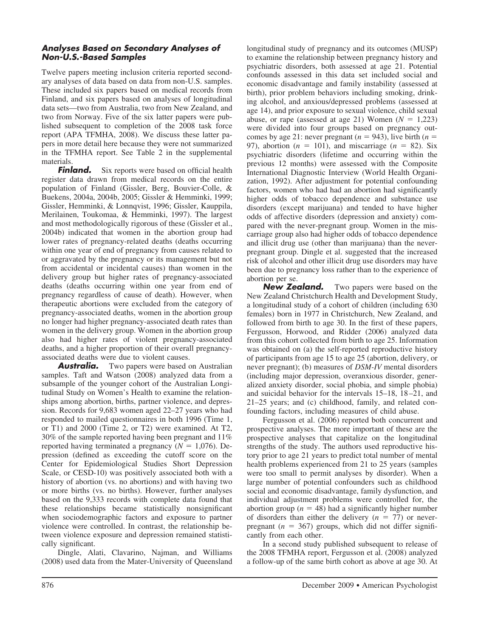#### *Analyses Based on Secondary Analyses of Non-U.S.-Based Samples*

Twelve papers meeting inclusion criteria reported secondary analyses of data based on data from non-U.S. samples. These included six papers based on medical records from Finland, and six papers based on analyses of longitudinal data sets—two from Australia, two from New Zealand, and two from Norway. Five of the six latter papers were published subsequent to completion of the 2008 task force report (APA TFMHA, 2008). We discuss these latter papers in more detail here because they were not summarized in the TFMHA report. See Table 2 in the supplemental materials.

**Finland.** Six reports were based on official health register data drawn from medical records on the entire population of Finland (Gissler, Berg, Bouvier-Colle, & Buekens, 2004a, 2004b, 2005; Gissler & Hemminki, 1999; Gissler, Hemminki, & Lonnqvist, 1996; Gissler, Kauppila, Merilainen, Toukomaa, & Hemminki, 1997). The largest and most methodologically rigorous of these (Gissler et al., 2004b) indicated that women in the abortion group had lower rates of pregnancy-related deaths (deaths occurring within one year of end of pregnancy from causes related to or aggravated by the pregnancy or its management but not from accidental or incidental causes) than women in the delivery group but higher rates of pregnancy-associated deaths (deaths occurring within one year from end of pregnancy regardless of cause of death). However, when therapeutic abortions were excluded from the category of pregnancy-associated deaths, women in the abortion group no longer had higher pregnancy-associated death rates than women in the delivery group. Women in the abortion group also had higher rates of violent pregnancy-associated deaths, and a higher proportion of their overall pregnancyassociated deaths were due to violent causes.

**Australia.** Two papers were based on Australian samples. Taft and Watson (2008) analyzed data from a subsample of the younger cohort of the Australian Longitudinal Study on Women's Health to examine the relationships among abortion, births, partner violence, and depression. Records for 9,683 women aged 22–27 years who had responded to mailed questionnaires in both 1996 (Time 1, or T1) and 2000 (Time 2, or T2) were examined. At T2, 30% of the sample reported having been pregnant and 11% reported having terminated a pregnancy  $(N = 1,076)$ . Depression (defined as exceeding the cutoff score on the Center for Epidemiological Studies Short Depression Scale, or CESD-10) was positively associated both with a history of abortion (vs. no abortions) and with having two or more births (vs. no births). However, further analyses based on the 9,333 records with complete data found that these relationships became statistically nonsignificant when sociodemographic factors and exposure to partner violence were controlled. In contrast, the relationship between violence exposure and depression remained statistically significant.

Dingle, Alati, Clavarino, Najman, and Williams (2008) used data from the Mater-University of Queensland

longitudinal study of pregnancy and its outcomes (MUSP) to examine the relationship between pregnancy history and psychiatric disorders, both assessed at age 21. Potential confounds assessed in this data set included social and economic disadvantage and family instability (assessed at birth), prior problem behaviors including smoking, drinking alcohol, and anxious/depressed problems (assessed at age 14), and prior exposure to sexual violence, child sexual abuse, or rape (assessed at age 21) Women  $(N = 1,223)$ were divided into four groups based on pregnancy outcomes by age 21: never pregnant ( $n = 943$ ), live birth ( $n =$ 97), abortion  $(n = 101)$ , and miscarriage  $(n = 82)$ . Six psychiatric disorders (lifetime and occurring within the previous 12 months) were assessed with the Composite International Diagnostic Interview (World Health Organization, 1992). After adjustment for potential confounding factors, women who had had an abortion had significantly higher odds of tobacco dependence and substance use disorders (except marijuana) and tended to have higher odds of affective disorders (depression and anxiety) compared with the never-pregnant group. Women in the miscarriage group also had higher odds of tobacco dependence and illicit drug use (other than marijuana) than the neverpregnant group. Dingle et al. suggested that the increased risk of alcohol and other illicit drug use disorders may have been due to pregnancy loss rather than to the experience of

abortion per se.<br>**New Zealand.** Two papers were based on the New Zealand Christchurch Health and Development Study, a longitudinal study of a cohort of children (including 630 females) born in 1977 in Christchurch, New Zealand, and followed from birth to age 30. In the first of these papers, Fergusson, Horwood, and Ridder (2006) analyzed data from this cohort collected from birth to age 25. Information was obtained on (a) the self-reported reproductive history of participants from age 15 to age 25 (abortion, delivery, or never pregnant); (b) measures of *DSM-IV* mental disorders (including major depression, overanxious disorder, generalized anxiety disorder, social phobia, and simple phobia) and suicidal behavior for the intervals 15–18, 18–21, and 21–25 years; and (c) childhood, family, and related confounding factors, including measures of child abuse.

Fergusson et al. (2006) reported both concurrent and prospective analyses. The more important of these are the prospective analyses that capitalize on the longitudinal strengths of the study. The authors used reproductive history prior to age 21 years to predict total number of mental health problems experienced from 21 to 25 years (samples were too small to permit analyses by disorder). When a large number of potential confounders such as childhood social and economic disadvantage, family dysfunction, and individual adjustment problems were controlled for, the abortion group ( $n = 48$ ) had a significantly higher number of disorders than either the delivery  $(n = 77)$  or neverpregnant  $(n = 367)$  groups, which did not differ significantly from each other.

In a second study published subsequent to release of the 2008 TFMHA report, Fergusson et al. (2008) analyzed a follow-up of the same birth cohort as above at age 30. At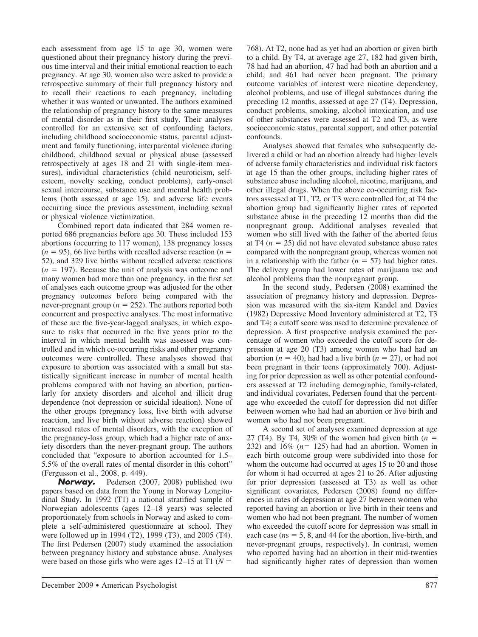each assessment from age 15 to age 30, women were questioned about their pregnancy history during the previous time interval and their initial emotional reaction to each pregnancy. At age 30, women also were asked to provide a retrospective summary of their full pregnancy history and to recall their reactions to each pregnancy, including whether it was wanted or unwanted. The authors examined the relationship of pregnancy history to the same measures of mental disorder as in their first study. Their analyses controlled for an extensive set of confounding factors, including childhood socioeconomic status, parental adjustment and family functioning, interparental violence during childhood, childhood sexual or physical abuse (assessed retrospectively at ages 18 and 21 with single-item measures), individual characteristics (child neuroticism, selfesteem, novelty seeking, conduct problems), early-onset sexual intercourse, substance use and mental health problems (both assessed at age 15), and adverse life events occurring since the previous assessment, including sexual or physical violence victimization.

Combined report data indicated that 284 women reported 686 pregnancies before age 30. These included 153 abortions (occurring to 117 women), 138 pregnancy losses  $(n = 95)$ , 66 live births with recalled adverse reaction  $(n = 100)$ 52), and 329 live births without recalled adverse reactions  $(n = 197)$ . Because the unit of analysis was outcome and many women had more than one pregnancy, in the first set of analyses each outcome group was adjusted for the other pregnancy outcomes before being compared with the never-pregnant group ( $n = 252$ ). The authors reported both concurrent and prospective analyses. The most informative of these are the five-year-lagged analyses, in which exposure to risks that occurred in the five years prior to the interval in which mental health was assessed was controlled and in which co-occurring risks and other pregnancy outcomes were controlled. These analyses showed that exposure to abortion was associated with a small but statistically significant increase in number of mental health problems compared with not having an abortion, particularly for anxiety disorders and alcohol and illicit drug dependence (not depression or suicidal ideation). None of the other groups (pregnancy loss, live birth with adverse reaction, and live birth without adverse reaction) showed increased rates of mental disorders, with the exception of the pregnancy-loss group, which had a higher rate of anxiety disorders than the never-pregnant group. The authors concluded that "exposure to abortion accounted for 1.5– 5.5% of the overall rates of mental disorder in this cohort" (Fergusson et al., 2008, p. 449).

*Norway.* Pedersen (2007, 2008) published two papers based on data from the Young in Norway Longitudinal Study. In 1992 (T1) a national stratified sample of Norwegian adolescents (ages 12–18 years) was selected proportionately from schools in Norway and asked to complete a self-administered questionnaire at school. They were followed up in 1994 (T2), 1999 (T3), and 2005 (T4). The first Pedersen (2007) study examined the association between pregnancy history and substance abuse. Analyses were based on those girls who were ages  $12-15$  at T1 ( $N =$ 

768). At T2, none had as yet had an abortion or given birth to a child. By T4, at average age 27, 182 had given birth, 78 had had an abortion, 47 had had both an abortion and a child, and 461 had never been pregnant. The primary outcome variables of interest were nicotine dependency, alcohol problems, and use of illegal substances during the preceding 12 months, assessed at age 27 (T4). Depression, conduct problems, smoking, alcohol intoxication, and use of other substances were assessed at T2 and T3, as were socioeconomic status, parental support, and other potential confounds.

Analyses showed that females who subsequently delivered a child or had an abortion already had higher levels of adverse family characteristics and individual risk factors at age 15 than the other groups, including higher rates of substance abuse including alcohol, nicotine, marijuana, and other illegal drugs. When the above co-occurring risk factors assessed at T1, T2, or T3 were controlled for, at T4 the abortion group had significantly higher rates of reported substance abuse in the preceding 12 months than did the nonpregnant group. Additional analyses revealed that women who still lived with the father of the aborted fetus at T4  $(n = 25)$  did not have elevated substance abuse rates compared with the nonpregnant group, whereas women not in a relationship with the father  $(n = 57)$  had higher rates. The delivery group had lower rates of marijuana use and alcohol problems than the nonpregnant group.

In the second study, Pedersen (2008) examined the association of pregnancy history and depression. Depression was measured with the six-item Kandel and Davies (1982) Depressive Mood Inventory administered at T2, T3 and T4; a cutoff score was used to determine prevalence of depression. A first prospective analysis examined the percentage of women who exceeded the cutoff score for depression at age 20 (T3) among women who had had an abortion ( $n = 40$ ), had had a live birth ( $n = 27$ ), or had not been pregnant in their teens (approximately 700). Adjusting for prior depression as well as other potential confounders assessed at T2 including demographic, family-related, and individual covariates, Pedersen found that the percentage who exceeded the cutoff for depression did not differ between women who had had an abortion or live birth and women who had not been pregnant.

A second set of analyses examined depression at age 27 (T4). By T4, 30% of the women had given birth  $(n = 1)$  $232$ ) and  $16\%$  ( $n=125$ ) had had an abortion. Women in each birth outcome group were subdivided into those for whom the outcome had occurred at ages 15 to 20 and those for whom it had occurred at ages 21 to 26. After adjusting for prior depression (assessed at T3) as well as other significant covariates, Pedersen (2008) found no differences in rates of depression at age 27 between women who reported having an abortion or live birth in their teens and women who had not been pregnant. The number of women who exceeded the cutoff score for depression was small in each case ( $ns = 5$ , 8, and 44 for the abortion, live-birth, and never-pregnant groups, respectively). In contrast, women who reported having had an abortion in their mid-twenties had significantly higher rates of depression than women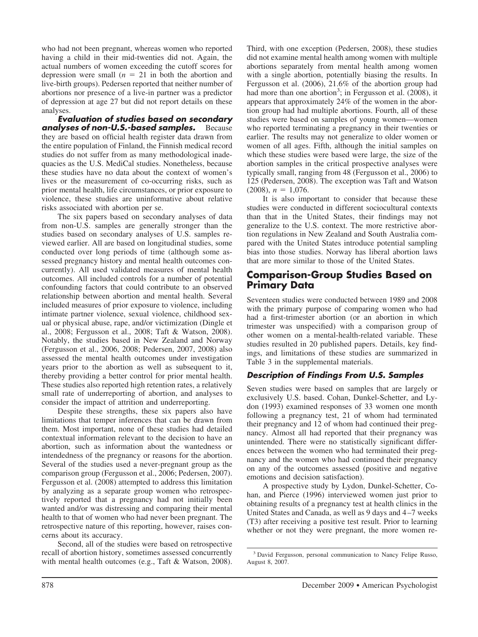who had not been pregnant, whereas women who reported having a child in their mid-twenties did not. Again, the actual numbers of women exceeding the cutoff scores for depression were small  $(n = 21$  in both the abortion and live-birth groups). Pedersen reported that neither number of abortions nor presence of a live-in partner was a predictor of depression at age 27 but did not report details on these analyses.

*Evaluation of studies based on secondary analyses of non-U.S.-based samples.* Because they are based on official health register data drawn from the entire population of Finland, the Finnish medical record studies do not suffer from as many methodological inadequacies as the U.S. MediCal studies. Nonetheless, because these studies have no data about the context of women's lives or the measurement of co-occurring risks, such as prior mental health, life circumstances, or prior exposure to violence, these studies are uninformative about relative risks associated with abortion per se.

The six papers based on secondary analyses of data from non-U.S. samples are generally stronger than the studies based on secondary analyses of U.S. samples reviewed earlier. All are based on longitudinal studies, some conducted over long periods of time (although some assessed pregnancy history and mental health outcomes concurrently). All used validated measures of mental health outcomes. All included controls for a number of potential confounding factors that could contribute to an observed relationship between abortion and mental health. Several included measures of prior exposure to violence, including intimate partner violence, sexual violence, childhood sexual or physical abuse, rape, and/or victimization (Dingle et al., 2008; Fergusson et al., 2008; Taft & Watson, 2008). Notably, the studies based in New Zealand and Norway (Fergusson et al., 2006, 2008; Pedersen, 2007, 2008) also assessed the mental health outcomes under investigation years prior to the abortion as well as subsequent to it, thereby providing a better control for prior mental health. These studies also reported high retention rates, a relatively small rate of underreporting of abortion, and analyses to consider the impact of attrition and underreporting.

Despite these strengths, these six papers also have limitations that temper inferences that can be drawn from them. Most important, none of these studies had detailed contextual information relevant to the decision to have an abortion, such as information about the wantedness or intendedness of the pregnancy or reasons for the abortion. Several of the studies used a never-pregnant group as the comparison group (Fergusson et al., 2006; Pedersen, 2007). Fergusson et al. (2008) attempted to address this limitation by analyzing as a separate group women who retrospectively reported that a pregnancy had not initially been wanted and/or was distressing and comparing their mental health to that of women who had never been pregnant. The retrospective nature of this reporting, however, raises concerns about its accuracy.

Second, all of the studies were based on retrospective recall of abortion history, sometimes assessed concurrently with mental health outcomes (e.g., Taft & Watson, 2008).

Third, with one exception (Pedersen, 2008), these studies did not examine mental health among women with multiple abortions separately from mental health among women with a single abortion, potentially biasing the results. In Fergusson et al. (2006), 21.6% of the abortion group had had more than one abortion<sup>3</sup>; in Fergusson et al.  $(2008)$ , it appears that approximately 24% of the women in the abortion group had had multiple abortions. Fourth, all of these studies were based on samples of young women—women who reported terminating a pregnancy in their twenties or earlier. The results may not generalize to older women or women of all ages. Fifth, although the initial samples on which these studies were based were large, the size of the abortion samples in the critical prospective analyses were typically small, ranging from 48 (Fergusson et al., 2006) to 125 (Pedersen, 2008). The exception was Taft and Watson  $(2008)$ ,  $n = 1,076$ .

It is also important to consider that because these studies were conducted in different sociocultural contexts than that in the United States, their findings may not generalize to the U.S. context. The more restrictive abortion regulations in New Zealand and South Australia compared with the United States introduce potential sampling bias into those studies. Norway has liberal abortion laws that are more similar to those of the United States.

### **Comparison-Group Studies Based on Primary Data**

Seventeen studies were conducted between 1989 and 2008 with the primary purpose of comparing women who had had a first-trimester abortion (or an abortion in which trimester was unspecified) with a comparison group of other women on a mental-health-related variable. These studies resulted in 20 published papers. Details, key findings, and limitations of these studies are summarized in Table 3 in the supplemental materials.

#### *Description of Findings From U.S. Samples*

Seven studies were based on samples that are largely or exclusively U.S. based. Cohan, Dunkel-Schetter, and Lydon (1993) examined responses of 33 women one month following a pregnancy test, 21 of whom had terminated their pregnancy and 12 of whom had continued their pregnancy. Almost all had reported that their pregnancy was unintended. There were no statistically significant differences between the women who had terminated their pregnancy and the women who had continued their pregnancy on any of the outcomes assessed (positive and negative emotions and decision satisfaction).

A prospective study by Lydon, Dunkel-Schetter, Cohan, and Pierce (1996) interviewed women just prior to obtaining results of a pregnancy test at health clinics in the United States and Canada, as well as 9 days and 4–7 weeks (T3) after receiving a positive test result. Prior to learning whether or not they were pregnant, the more women re-

<sup>3</sup> David Fergusson, personal communication to Nancy Felipe Russo, August 8, 2007.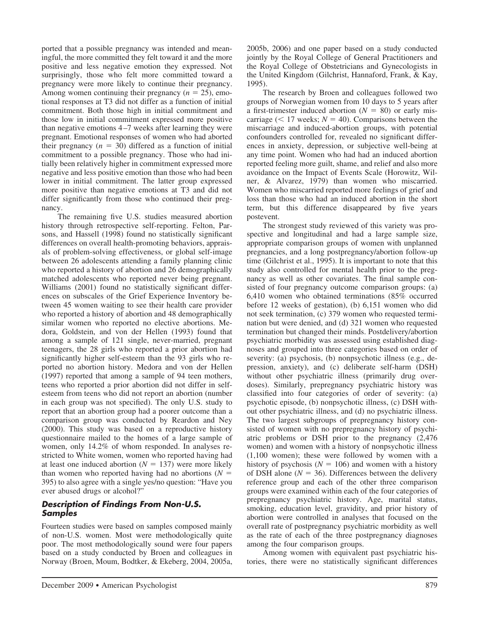ported that a possible pregnancy was intended and meaningful, the more committed they felt toward it and the more positive and less negative emotion they expressed. Not surprisingly, those who felt more committed toward a pregnancy were more likely to continue their pregnancy. Among women continuing their pregnancy  $(n = 25)$ , emotional responses at T3 did not differ as a function of initial commitment. Both those high in initial commitment and those low in initial commitment expressed more positive than negative emotions 4–7 weeks after learning they were pregnant. Emotional responses of women who had aborted their pregnancy  $(n = 30)$  differed as a function of initial commitment to a possible pregnancy. Those who had initially been relatively higher in commitment expressed more negative and less positive emotion than those who had been lower in initial commitment. The latter group expressed more positive than negative emotions at T3 and did not differ significantly from those who continued their pregnancy.

The remaining five U.S. studies measured abortion history through retrospective self-reporting. Felton, Parsons, and Hassell (1998) found no statistically significant differences on overall health-promoting behaviors, appraisals of problem-solving effectiveness, or global self-image between 26 adolescents attending a family planning clinic who reported a history of abortion and 26 demographically matched adolescents who reported never being pregnant. Williams (2001) found no statistically significant differences on subscales of the Grief Experience Inventory between 45 women waiting to see their health care provider who reported a history of abortion and 48 demographically similar women who reported no elective abortions. Medora, Goldstein, and von der Hellen (1993) found that among a sample of 121 single, never-married, pregnant teenagers, the 28 girls who reported a prior abortion had significantly higher self-esteem than the 93 girls who reported no abortion history. Medora and von der Hellen (1997) reported that among a sample of 94 teen mothers, teens who reported a prior abortion did not differ in selfesteem from teens who did not report an abortion (number in each group was not specified). The only U.S. study to report that an abortion group had a poorer outcome than a comparison group was conducted by Reardon and Ney (2000). This study was based on a reproductive history questionnaire mailed to the homes of a large sample of women, only 14.2% of whom responded. In analyses restricted to White women, women who reported having had at least one induced abortion  $(N = 137)$  were more likely than women who reported having had no abortions  $(N =$ 395) to also agree with a single yes/no question: "Have you ever abused drugs or alcohol?"

#### *Description of Findings From Non-U.S. Samples*

Fourteen studies were based on samples composed mainly of non-U.S. women. Most were methodologically quite poor. The most methodologically sound were four papers based on a study conducted by Broen and colleagues in Norway (Broen, Moum, Bodtker, & Ekeberg, 2004, 2005a,

2005b, 2006) and one paper based on a study conducted jointly by the Royal College of General Practitioners and the Royal College of Obstetricians and Gynecologists in the United Kingdom (Gilchrist, Hannaford, Frank, & Kay, 1995).

The research by Broen and colleagues followed two groups of Norwegian women from 10 days to 5 years after a first-trimester induced abortion  $(N = 80)$  or early miscarriage  $(< 17$  weeks;  $N = 40$ ). Comparisons between the miscarriage and induced-abortion groups, with potential confounders controlled for, revealed no significant differences in anxiety, depression, or subjective well-being at any time point. Women who had had an induced abortion reported feeling more guilt, shame, and relief and also more avoidance on the Impact of Events Scale (Horowitz, Wilner, & Alvarez, 1979) than women who miscarried. Women who miscarried reported more feelings of grief and loss than those who had an induced abortion in the short term, but this difference disappeared by five years postevent.

The strongest study reviewed of this variety was prospective and longitudinal and had a large sample size, appropriate comparison groups of women with unplanned pregnancies, and a long postpregnancy/abortion follow-up time (Gilchrist et al., 1995). It is important to note that this study also controlled for mental health prior to the pregnancy as well as other covariates. The final sample consisted of four pregnancy outcome comparison groups: (a) 6,410 women who obtained terminations (85% occurred before 12 weeks of gestation), (b) 6,151 women who did not seek termination, (c) 379 women who requested termination but were denied, and (d) 321 women who requested termination but changed their minds. Postdelivery/abortion psychiatric morbidity was assessed using established diagnoses and grouped into three categories based on order of severity: (a) psychosis, (b) nonpsychotic illness (e.g., depression, anxiety), and (c) deliberate self-harm (DSH) without other psychiatric illness (primarily drug overdoses). Similarly, prepregnancy psychiatric history was classified into four categories of order of severity: (a) psychotic episode, (b) nonpsychotic illness, (c) DSH without other psychiatric illness, and (d) no psychiatric illness. The two largest subgroups of prepregnancy history consisted of women with no prepregnancy history of psychiatric problems or DSH prior to the pregnancy (2,476 women) and women with a history of nonpsychotic illness (1,100 women); these were followed by women with a history of psychosis ( $N = 106$ ) and women with a history of DSH alone  $(N = 36)$ . Differences between the delivery reference group and each of the other three comparison groups were examined within each of the four categories of prepregnancy psychiatric history. Age, marital status, smoking, education level, gravidity, and prior history of abortion were controlled in analyses that focused on the overall rate of postpregnancy psychiatric morbidity as well as the rate of each of the three postpregnancy diagnoses among the four comparison groups.

Among women with equivalent past psychiatric histories, there were no statistically significant differences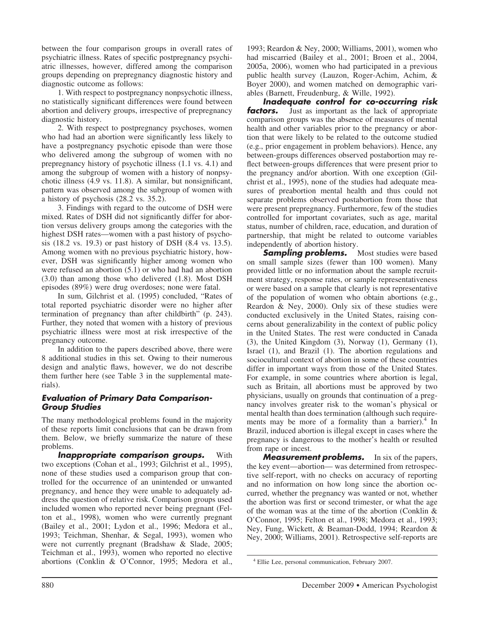between the four comparison groups in overall rates of psychiatric illness. Rates of specific postpregnancy psychiatric illnesses, however, differed among the comparison groups depending on prepregnancy diagnostic history and diagnostic outcome as follows:

1. With respect to postpregnancy nonpsychotic illness, no statistically significant differences were found between abortion and delivery groups, irrespective of prepregnancy diagnostic history.

2. With respect to postpregnancy psychoses, women who had had an abortion were significantly less likely to have a postpregnancy psychotic episode than were those who delivered among the subgroup of women with no prepregnancy history of psychotic illness (1.1 vs. 4.1) and among the subgroup of women with a history of nonpsychotic illness (4.9 vs. 11.8). A similar, but nonsignificant, pattern was observed among the subgroup of women with a history of psychosis (28.2 vs. 35.2).

3. Findings with regard to the outcome of DSH were mixed. Rates of DSH did not significantly differ for abortion versus delivery groups among the categories with the highest DSH rates—women with a past history of psychosis (18.2 vs. 19.3) or past history of DSH (8.4 vs. 13.5). Among women with no previous psychiatric history, however, DSH was significantly higher among women who were refused an abortion (5.1) or who had had an abortion (3.0) than among those who delivered (1.8). Most DSH episodes (89%) were drug overdoses; none were fatal.

In sum, Gilchrist et al. (1995) concluded, "Rates of total reported psychiatric disorder were no higher after termination of pregnancy than after childbirth" (p. 243). Further, they noted that women with a history of previous psychiatric illness were most at risk irrespective of the pregnancy outcome.

In addition to the papers described above, there were 8 additional studies in this set. Owing to their numerous design and analytic flaws, however, we do not describe them further here (see Table 3 in the supplemental materials).

#### *Evaluation of Primary Data Comparison-Group Studies*

The many methodological problems found in the majority of these reports limit conclusions that can be drawn from them. Below, we briefly summarize the nature of these problems.

*Inappropriate comparison groups.* With two exceptions (Cohan et al., 1993; Gilchrist et al., 1995), none of these studies used a comparison group that controlled for the occurrence of an unintended or unwanted pregnancy, and hence they were unable to adequately address the question of relative risk. Comparison groups used included women who reported never being pregnant (Felton et al., 1998), women who were currently pregnant (Bailey et al., 2001; Lydon et al., 1996; Medora et al., 1993; Teichman, Shenhar, & Segal, 1993), women who were not currently pregnant (Bradshaw & Slade, 2005; Teichman et al., 1993), women who reported no elective abortions (Conklin & O'Connor, 1995; Medora et al.,

1993; Reardon & Ney, 2000; Williams, 2001), women who had miscarried (Bailey et al., 2001; Broen et al., 2004, 2005a, 2006), women who had participated in a previous public health survey (Lauzon, Roger-Achim, Achim, & Boyer 2000), and women matched on demographic variables (Barnett, Freudenburg, & Wille, 1992).

*Inadequate control for co-occurring risk factors.* Just as important as the lack of appropriate comparison groups was the absence of measures of mental health and other variables prior to the pregnancy or abortion that were likely to be related to the outcome studied (e.g., prior engagement in problem behaviors). Hence, any between-groups differences observed postabortion may reflect between-groups differences that were present prior to the pregnancy and/or abortion. With one exception (Gilchrist et al., 1995), none of the studies had adequate measures of preabortion mental health and thus could not separate problems observed postabortion from those that were present prepregnancy. Furthermore, few of the studies controlled for important covariates, such as age, marital status, number of children, race, education, and duration of partnership, that might be related to outcome variables independently of abortion history.

**Sampling problems.** Most studies were based on small sample sizes (fewer than 100 women). Many provided little or no information about the sample recruitment strategy, response rates, or sample representativeness or were based on a sample that clearly is not representative of the population of women who obtain abortions (e.g., Reardon & Ney, 2000). Only six of these studies were conducted exclusively in the United States, raising concerns about generalizability in the context of public policy in the United States. The rest were conducted in Canada (3), the United Kingdom (3), Norway (1), Germany (1), Israel (1), and Brazil (1). The abortion regulations and sociocultural context of abortion in some of these countries differ in important ways from those of the United States. For example, in some countries where abortion is legal, such as Britain, all abortions must be approved by two physicians, usually on grounds that continuation of a pregnancy involves greater risk to the woman's physical or mental health than does termination (although such requirements may be more of a formality than a barrier). $4 \text{ In}$ Brazil, induced abortion is illegal except in cases where the pregnancy is dangerous to the mother's health or resulted from rape or incest.

*Measurement problems.* In six of the papers, the key event—abortion— was determined from retrospective self-report, with no checks on accuracy of reporting and no information on how long since the abortion occurred, whether the pregnancy was wanted or not, whether the abortion was first or second trimester, or what the age of the woman was at the time of the abortion (Conklin & O'Connor, 1995; Felton et al., 1998; Medora et al., 1993; Ney, Fung, Wickett, & Beaman-Dodd, 1994; Reardon & Ney, 2000; Williams, 2001). Retrospective self-reports are

<sup>4</sup> Ellie Lee, personal communication, February 2007.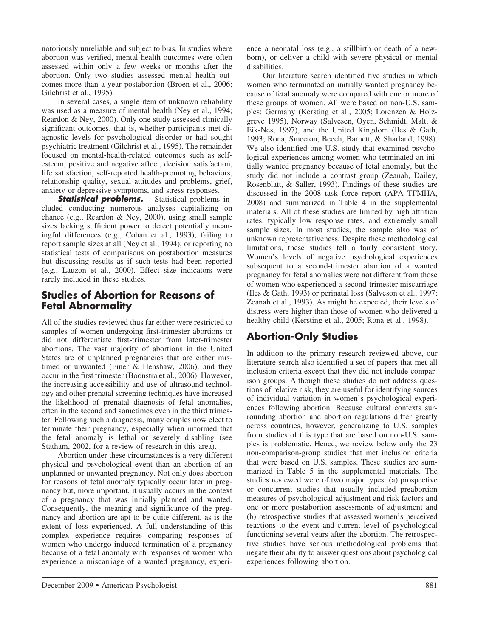notoriously unreliable and subject to bias. In studies where abortion was verified, mental health outcomes were often assessed within only a few weeks or months after the abortion. Only two studies assessed mental health outcomes more than a year postabortion (Broen et al., 2006; Gilchrist et al., 1995).

In several cases, a single item of unknown reliability was used as a measure of mental health (Ney et al., 1994; Reardon & Ney, 2000). Only one study assessed clinically significant outcomes, that is, whether participants met diagnostic levels for psychological disorder or had sought psychiatric treatment (Gilchrist et al., 1995). The remainder focused on mental-health-related outcomes such as selfesteem, positive and negative affect, decision satisfaction, life satisfaction, self-reported health-promoting behaviors, relationship quality, sexual attitudes and problems, grief, anxiety or depressive symptoms, and stress responses.

**Statistical problems.** Statistical problems included conducting numerous analyses capitalizing on chance (e.g., Reardon & Ney, 2000), using small sample sizes lacking sufficient power to detect potentially meaningful differences (e.g., Cohan et al., 1993), failing to report sample sizes at all (Ney et al., 1994), or reporting no statistical tests of comparisons on postabortion measures but discussing results as if such tests had been reported (e.g., Lauzon et al., 2000). Effect size indicators were rarely included in these studies.

## **Studies of Abortion for Reasons of Fetal Abnormality**

All of the studies reviewed thus far either were restricted to samples of women undergoing first-trimester abortions or did not differentiate first-trimester from later-trimester abortions. The vast majority of abortions in the United States are of unplanned pregnancies that are either mistimed or unwanted (Finer & Henshaw, 2006), and they occur in the first trimester (Boonstra et al., 2006). However, the increasing accessibility and use of ultrasound technology and other prenatal screening techniques have increased the likelihood of prenatal diagnosis of fetal anomalies, often in the second and sometimes even in the third trimester. Following such a diagnosis, many couples now elect to terminate their pregnancy, especially when informed that the fetal anomaly is lethal or severely disabling (see Statham, 2002, for a review of research in this area).

Abortion under these circumstances is a very different physical and psychological event than an abortion of an unplanned or unwanted pregnancy. Not only does abortion for reasons of fetal anomaly typically occur later in pregnancy but, more important, it usually occurs in the context of a pregnancy that was initially planned and wanted. Consequently, the meaning and significance of the pregnancy and abortion are apt to be quite different, as is the extent of loss experienced. A full understanding of this complex experience requires comparing responses of women who undergo induced termination of a pregnancy because of a fetal anomaly with responses of women who experience a miscarriage of a wanted pregnancy, experience a neonatal loss (e.g., a stillbirth or death of a newborn), or deliver a child with severe physical or mental disabilities.

Our literature search identified five studies in which women who terminated an initially wanted pregnancy because of fetal anomaly were compared with one or more of these groups of women. All were based on non-U.S. samples: Germany (Kersting et al., 2005; Lorenzen & Holzgreve 1995), Norway (Salvesen, Oyen, Schmidt, Malt, & Eik-Nes, 1997), and the United Kingdom (Iles & Gath, 1993; Rona, Smeeton, Beech, Barnett, & Sharland, 1998). We also identified one U.S. study that examined psychological experiences among women who terminated an initially wanted pregnancy because of fetal anomaly, but the study did not include a contrast group (Zeanah, Dailey, Rosenblatt, & Saller, 1993). Findings of these studies are discussed in the 2008 task force report (APA TFMHA, 2008) and summarized in Table 4 in the supplemental materials. All of these studies are limited by high attrition rates, typically low response rates, and extremely small sample sizes. In most studies, the sample also was of unknown representativeness. Despite these methodological limitations, these studies tell a fairly consistent story. Women's levels of negative psychological experiences subsequent to a second-trimester abortion of a wanted pregnancy for fetal anomalies were not different from those of women who experienced a second-trimester miscarriage (Iles & Gath, 1993) or perinatal loss (Salveson et al., 1997; Zeanah et al., 1993). As might be expected, their levels of distress were higher than those of women who delivered a healthy child (Kersting et al., 2005; Rona et al., 1998).

# **Abortion-Only Studies**

In addition to the primary research reviewed above, our literature search also identified a set of papers that met all inclusion criteria except that they did not include comparison groups. Although these studies do not address questions of relative risk, they are useful for identifying sources of individual variation in women's psychological experiences following abortion. Because cultural contexts surrounding abortion and abortion regulations differ greatly across countries, however, generalizing to U.S. samples from studies of this type that are based on non-U.S. samples is problematic. Hence, we review below only the 23 non-comparison-group studies that met inclusion criteria that were based on U.S. samples. These studies are summarized in Table 5 in the supplemental materials. The studies reviewed were of two major types: (a) prospective or concurrent studies that usually included preabortion measures of psychological adjustment and risk factors and one or more postabortion assessments of adjustment and (b) retrospective studies that assessed women's perceived reactions to the event and current level of psychological functioning several years after the abortion. The retrospective studies have serious methodological problems that negate their ability to answer questions about psychological experiences following abortion.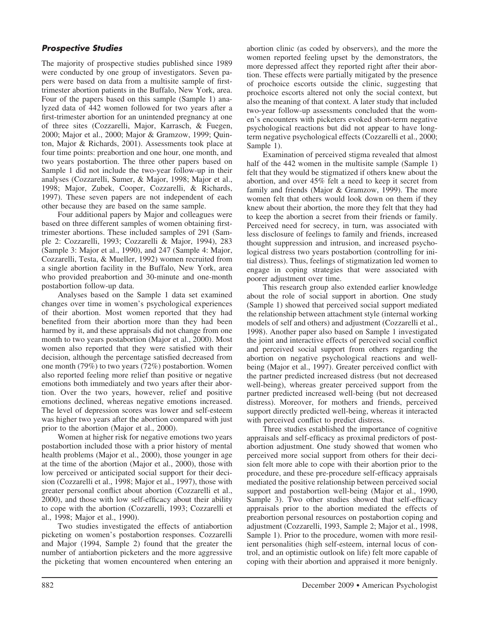#### *Prospective Studies*

The majority of prospective studies published since 1989 were conducted by one group of investigators. Seven papers were based on data from a multisite sample of firsttrimester abortion patients in the Buffalo, New York, area. Four of the papers based on this sample (Sample 1) analyzed data of 442 women followed for two years after a first-trimester abortion for an unintended pregnancy at one of three sites (Cozzarelli, Major, Karrasch, & Fuegen, 2000; Major et al., 2000; Major & Gramzow, 1999; Quinton, Major & Richards, 2001). Assessments took place at four time points: preabortion and one hour, one month, and two years postabortion. The three other papers based on Sample 1 did not include the two-year follow-up in their analyses (Cozzarelli, Sumer, & Major, 1998; Major et al., 1998; Major, Zubek, Cooper, Cozzarelli, & Richards, 1997). These seven papers are not independent of each other because they are based on the same sample.

Four additional papers by Major and colleagues were based on three different samples of women obtaining firsttrimester abortions. These included samples of 291 (Sample 2: Cozzarelli, 1993; Cozzarelli & Major, 1994), 283 (Sample 3: Major et al., 1990), and 247 (Sample 4: Major, Cozzarelli, Testa, & Mueller, 1992) women recruited from a single abortion facility in the Buffalo, New York, area who provided preabortion and 30-minute and one-month postabortion follow-up data.

Analyses based on the Sample 1 data set examined changes over time in women's psychological experiences of their abortion. Most women reported that they had benefited from their abortion more than they had been harmed by it, and these appraisals did not change from one month to two years postabortion (Major et al., 2000). Most women also reported that they were satisfied with their decision, although the percentage satisfied decreased from one month (79%) to two years (72%) postabortion. Women also reported feeling more relief than positive or negative emotions both immediately and two years after their abortion. Over the two years, however, relief and positive emotions declined, whereas negative emotions increased. The level of depression scores was lower and self-esteem was higher two years after the abortion compared with just prior to the abortion (Major et al., 2000).

Women at higher risk for negative emotions two years postabortion included those with a prior history of mental health problems (Major et al., 2000), those younger in age at the time of the abortion (Major et al., 2000), those with low perceived or anticipated social support for their decision (Cozzarelli et al., 1998; Major et al., 1997), those with greater personal conflict about abortion (Cozzarelli et al., 2000), and those with low self-efficacy about their ability to cope with the abortion (Cozzarelli, 1993; Cozzarelli et al., 1998; Major et al., 1990).

Two studies investigated the effects of antiabortion picketing on women's postabortion responses. Cozzarelli and Major (1994, Sample 2) found that the greater the number of antiabortion picketers and the more aggressive the picketing that women encountered when entering an abortion clinic (as coded by observers), and the more the women reported feeling upset by the demonstrators, the more depressed affect they reported right after their abortion. These effects were partially mitigated by the presence of prochoice escorts outside the clinic, suggesting that prochoice escorts altered not only the social context, but also the meaning of that context. A later study that included two-year follow-up assessments concluded that the women's encounters with picketers evoked short-term negative psychological reactions but did not appear to have longterm negative psychological effects (Cozzarelli et al., 2000; Sample 1).

Examination of perceived stigma revealed that almost half of the 442 women in the multisite sample (Sample 1) felt that they would be stigmatized if others knew about the abortion, and over 45% felt a need to keep it secret from family and friends (Major & Gramzow, 1999). The more women felt that others would look down on them if they knew about their abortion, the more they felt that they had to keep the abortion a secret from their friends or family. Perceived need for secrecy, in turn, was associated with less disclosure of feelings to family and friends, increased thought suppression and intrusion, and increased psychological distress two years postabortion (controlling for initial distress). Thus, feelings of stigmatization led women to engage in coping strategies that were associated with poorer adjustment over time.

This research group also extended earlier knowledge about the role of social support in abortion. One study (Sample 1) showed that perceived social support mediated the relationship between attachment style (internal working models of self and others) and adjustment (Cozzarelli et al., 1998). Another paper also based on Sample 1 investigated the joint and interactive effects of perceived social conflict and perceived social support from others regarding the abortion on negative psychological reactions and wellbeing (Major et al., 1997). Greater perceived conflict with the partner predicted increased distress (but not decreased well-being), whereas greater perceived support from the partner predicted increased well-being (but not decreased distress). Moreover, for mothers and friends, perceived support directly predicted well-being, whereas it interacted with perceived conflict to predict distress.

Three studies established the importance of cognitive appraisals and self-efficacy as proximal predictors of postabortion adjustment. One study showed that women who perceived more social support from others for their decision felt more able to cope with their abortion prior to the procedure, and these pre-procedure self-efficacy appraisals mediated the positive relationship between perceived social support and postabortion well-being (Major et al., 1990, Sample 3). Two other studies showed that self-efficacy appraisals prior to the abortion mediated the effects of preabortion personal resources on postabortion coping and adjustment (Cozzarelli, 1993, Sample 2; Major et al., 1998, Sample 1). Prior to the procedure, women with more resilient personalities (high self-esteem, internal locus of control, and an optimistic outlook on life) felt more capable of coping with their abortion and appraised it more benignly.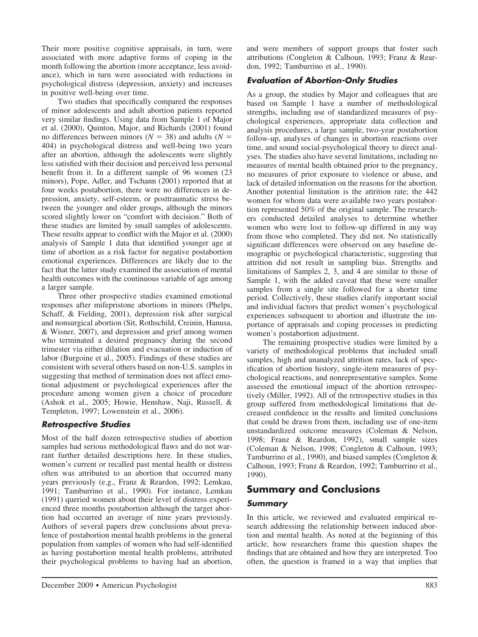Their more positive cognitive appraisals, in turn, were associated with more adaptive forms of coping in the month following the abortion (more acceptance, less avoidance), which in turn were associated with reductions in psychological distress (depression, anxiety) and increases in positive well-being over time.

Two studies that specifically compared the responses of minor adolescents and adult abortion patients reported very similar findings. Using data from Sample 1 of Major et al. (2000), Quinton, Major, and Richards (2001) found no differences between minors ( $N = 38$ ) and adults ( $N =$ 404) in psychological distress and well-being two years after an abortion, although the adolescents were slightly less satisfied with their decision and perceived less personal benefit from it. In a different sample of 96 women (23 minors), Pope, Adler, and Tschann (2001) reported that at four weeks postabortion, there were no differences in depression, anxiety, self-esteem, or posttraumatic stress between the younger and older groups, although the minors scored slightly lower on "comfort with decision." Both of these studies are limited by small samples of adolescents. These results appear to conflict with the Major et al. (2000) analysis of Sample 1 data that identified younger age at time of abortion as a risk factor for negative postabortion emotional experiences. Differences are likely due to the fact that the latter study examined the association of mental health outcomes with the continuous variable of age among a larger sample.

Three other prospective studies examined emotional responses after mifepristone abortions in minors (Phelps, Schaff, & Fielding, 2001), depression risk after surgical and nonsurgical abortion (Sit, Rothschild, Creinin, Hanusa, & Wisner, 2007), and depression and grief among women who terminated a desired pregnancy during the second trimester via either dilation and evacuation or induction of labor (Burgoine et al., 2005). Findings of these studies are consistent with several others based on non-U.S. samples in suggesting that method of termination does not affect emotional adjustment or psychological experiences after the procedure among women given a choice of procedure (Ashok et al., 2005; Howie, Henshaw, Naji, Russell, & Templeton, 1997; Lowenstein et al., 2006).

#### *Retrospective Studies*

Most of the half dozen retrospective studies of abortion samples had serious methodological flaws and do not warrant further detailed descriptions here. In these studies, women's current or recalled past mental health or distress often was attributed to an abortion that occurred many years previously (e.g., Franz & Reardon, 1992; Lemkau, 1991; Tamburrino et al., 1990). For instance, Lemkau (1991) queried women about their level of distress experienced three months postabortion although the target abortion had occurred an average of nine years previously. Authors of several papers drew conclusions about prevalence of postabortion mental health problems in the general population from samples of women who had self-identified as having postabortion mental health problems, attributed their psychological problems to having had an abortion,

and were members of support groups that foster such attributions (Congleton & Calhoun, 1993; Franz & Reardon, 1992; Tamburrino et al., 1990).

#### *Evaluation of Abortion-Only Studies*

As a group, the studies by Major and colleagues that are based on Sample 1 have a number of methodological strengths, including use of standardized measures of psychological experiences, appropriate data collection and analysis procedures, a large sample, two-year postabortion follow-up, analyses of changes in abortion reactions over time, and sound social-psychological theory to direct analyses. The studies also have several limitations, including no measures of mental health obtained prior to the pregnancy, no measures of prior exposure to violence or abuse, and lack of detailed information on the reasons for the abortion. Another potential limitation is the attrition rate; the 442 women for whom data were available two years postabortion represented 50% of the original sample. The researchers conducted detailed analyses to determine whether women who were lost to follow-up differed in any way from those who completed. They did not. No statistically significant differences were observed on any baseline demographic or psychological characteristic, suggesting that attrition did not result in sampling bias. Strengths and limitations of Samples 2, 3, and 4 are similar to those of Sample 1, with the added caveat that these were smaller samples from a single site followed for a shorter time period. Collectively, these studies clarify important social and individual factors that predict women's psychological experiences subsequent to abortion and illustrate the importance of appraisals and coping processes in predicting women's postabortion adjustment.

The remaining prospective studies were limited by a variety of methodological problems that included small samples, high and unanalyzed attrition rates, lack of specification of abortion history, single-item measures of psychological reactions, and nonrepresentative samples. Some assessed the emotional impact of the abortion retrospectively (Miller, 1992). All of the retrospective studies in this group suffered from methodological limitations that decreased confidence in the results and limited conclusions that could be drawn from them, including use of one-item unstandardized outcome measures (Coleman & Nelson, 1998; Franz & Reardon, 1992), small sample sizes (Coleman & Nelson, 1998; Congleton & Calhoun, 1993; Tamburrino et al., 1990), and biased samples (Congleton & Calhoun, 1993; Franz & Reardon, 1992; Tamburrino et al., 1990).

# **Summary and Conclusions**

#### *Summary*

In this article, we reviewed and evaluated empirical research addressing the relationship between induced abortion and mental health. As noted at the beginning of this article, how researchers frame this question shapes the findings that are obtained and how they are interpreted. Too often, the question is framed in a way that implies that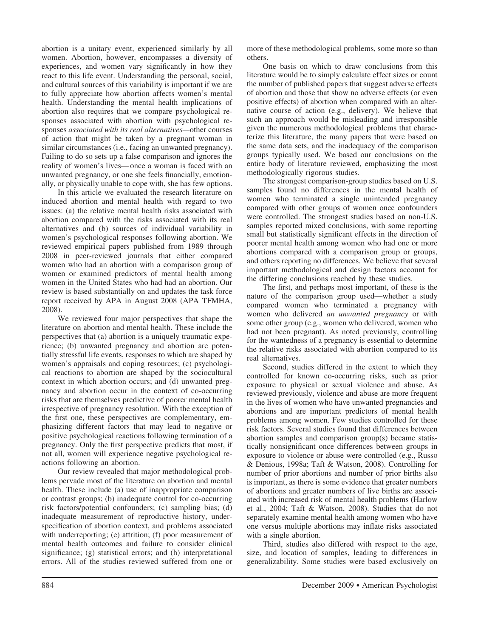abortion is a unitary event, experienced similarly by all women. Abortion, however, encompasses a diversity of experiences, and women vary significantly in how they react to this life event. Understanding the personal, social, and cultural sources of this variability is important if we are to fully appreciate how abortion affects women's mental health. Understanding the mental health implications of abortion also requires that we compare psychological responses associated with abortion with psychological responses *associated with its real alternatives—*other courses of action that might be taken by a pregnant woman in similar circumstances (i.e., facing an unwanted pregnancy). Failing to do so sets up a false comparison and ignores the reality of women's lives—once a woman is faced with an unwanted pregnancy, or one she feels financially, emotionally, or physically unable to cope with, she has few options.

In this article we evaluated the research literature on induced abortion and mental health with regard to two issues: (a) the relative mental health risks associated with abortion compared with the risks associated with its real alternatives and (b) sources of individual variability in women's psychological responses following abortion. We reviewed empirical papers published from 1989 through 2008 in peer-reviewed journals that either compared women who had an abortion with a comparison group of women or examined predictors of mental health among women in the United States who had had an abortion. Our review is based substantially on and updates the task force report received by APA in August 2008 (APA TFMHA, 2008).

We reviewed four major perspectives that shape the literature on abortion and mental health. These include the perspectives that (a) abortion is a uniquely traumatic experience; (b) unwanted pregnancy and abortion are potentially stressful life events, responses to which are shaped by women's appraisals and coping resources; (c) psychological reactions to abortion are shaped by the sociocultural context in which abortion occurs; and (d) unwanted pregnancy and abortion occur in the context of co-occurring risks that are themselves predictive of poorer mental health irrespective of pregnancy resolution. With the exception of the first one, these perspectives are complementary, emphasizing different factors that may lead to negative or positive psychological reactions following termination of a pregnancy. Only the first perspective predicts that most, if not all, women will experience negative psychological reactions following an abortion.

Our review revealed that major methodological problems pervade most of the literature on abortion and mental health. These include (a) use of inappropriate comparison or contrast groups; (b) inadequate control for co-occurring risk factors/potential confounders; (c) sampling bias; (d) inadequate measurement of reproductive history, underspecification of abortion context, and problems associated with underreporting; (e) attrition; (f) poor measurement of mental health outcomes and failure to consider clinical significance; (g) statistical errors; and (h) interpretational errors. All of the studies reviewed suffered from one or

more of these methodological problems, some more so than others.

One basis on which to draw conclusions from this literature would be to simply calculate effect sizes or count the number of published papers that suggest adverse effects of abortion and those that show no adverse effects (or even positive effects) of abortion when compared with an alternative course of action (e.g., delivery). We believe that such an approach would be misleading and irresponsible given the numerous methodological problems that characterize this literature, the many papers that were based on the same data sets, and the inadequacy of the comparison groups typically used. We based our conclusions on the entire body of literature reviewed, emphasizing the most methodologically rigorous studies.

The strongest comparison-group studies based on U.S. samples found no differences in the mental health of women who terminated a single unintended pregnancy compared with other groups of women once confounders were controlled. The strongest studies based on non-U.S. samples reported mixed conclusions, with some reporting small but statistically significant effects in the direction of poorer mental health among women who had one or more abortions compared with a comparison group or groups, and others reporting no differences. We believe that several important methodological and design factors account for the differing conclusions reached by these studies.

The first, and perhaps most important, of these is the nature of the comparison group used—whether a study compared women who terminated a pregnancy with women who delivered *an unwanted pregnancy* or with some other group (e.g., women who delivered, women who had not been pregnant). As noted previously, controlling for the wantedness of a pregnancy is essential to determine the relative risks associated with abortion compared to its real alternatives.

Second, studies differed in the extent to which they controlled for known co-occurring risks, such as prior exposure to physical or sexual violence and abuse. As reviewed previously, violence and abuse are more frequent in the lives of women who have unwanted pregnancies and abortions and are important predictors of mental health problems among women. Few studies controlled for these risk factors. Several studies found that differences between abortion samples and comparison group(s) became statistically nonsignificant once differences between groups in exposure to violence or abuse were controlled (e.g., Russo & Denious, 1998a; Taft & Watson, 2008). Controlling for number of prior abortions and number of prior births also is important, as there is some evidence that greater numbers of abortions and greater numbers of live births are associated with increased risk of mental health problems (Harlow et al., 2004; Taft & Watson, 2008). Studies that do not separately examine mental health among women who have one versus multiple abortions may inflate risks associated with a single abortion.

Third, studies also differed with respect to the age, size, and location of samples, leading to differences in generalizability. Some studies were based exclusively on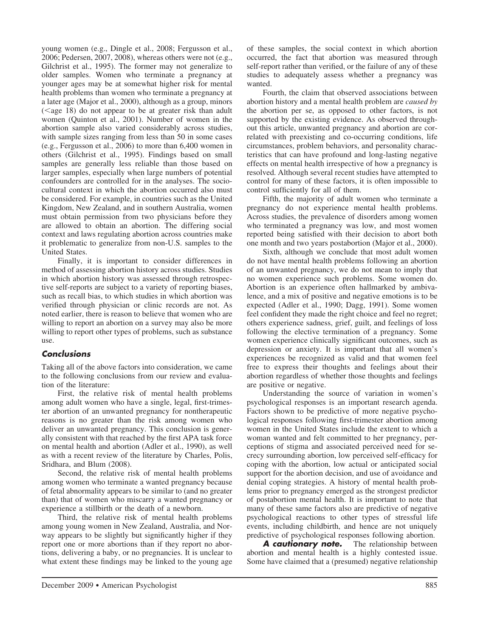young women (e.g., Dingle et al., 2008; Fergusson et al., 2006; Pedersen, 2007, 2008), whereas others were not (e.g., Gilchrist et al., 1995). The former may not generalize to older samples. Women who terminate a pregnancy at younger ages may be at somewhat higher risk for mental health problems than women who terminate a pregnancy at a later age (Major et al., 2000), although as a group, minors  $(*age* 18)$  do not appear to be at greater risk than adult women (Quinton et al., 2001). Number of women in the abortion sample also varied considerably across studies, with sample sizes ranging from less than 50 in some cases (e.g., Fergusson et al., 2006) to more than 6,400 women in others (Gilchrist et al., 1995). Findings based on small samples are generally less reliable than those based on larger samples, especially when large numbers of potential confounders are controlled for in the analyses. The sociocultural context in which the abortion occurred also must be considered. For example, in countries such as the United Kingdom, New Zealand, and in southern Australia, women must obtain permission from two physicians before they are allowed to obtain an abortion. The differing social context and laws regulating abortion across countries make it problematic to generalize from non-U.S. samples to the United States.

Finally, it is important to consider differences in method of assessing abortion history across studies. Studies in which abortion history was assessed through retrospective self-reports are subject to a variety of reporting biases, such as recall bias, to which studies in which abortion was verified through physician or clinic records are not. As noted earlier, there is reason to believe that women who are willing to report an abortion on a survey may also be more willing to report other types of problems, such as substance use.

#### *Conclusions*

Taking all of the above factors into consideration, we came to the following conclusions from our review and evaluation of the literature:

First, the relative risk of mental health problems among adult women who have a single, legal, first-trimester abortion of an unwanted pregnancy for nontherapeutic reasons is no greater than the risk among women who deliver an unwanted pregnancy. This conclusion is generally consistent with that reached by the first APA task force on mental health and abortion (Adler et al., 1990), as well as with a recent review of the literature by Charles, Polis, Sridhara, and Blum (2008).

Second, the relative risk of mental health problems among women who terminate a wanted pregnancy because of fetal abnormality appears to be similar to (and no greater than) that of women who miscarry a wanted pregnancy or experience a stillbirth or the death of a newborn.

Third, the relative risk of mental health problems among young women in New Zealand, Australia, and Norway appears to be slightly but significantly higher if they report one or more abortions than if they report no abortions, delivering a baby, or no pregnancies. It is unclear to what extent these findings may be linked to the young age of these samples, the social context in which abortion occurred, the fact that abortion was measured through self-report rather than verified, or the failure of any of these studies to adequately assess whether a pregnancy was wanted.

Fourth, the claim that observed associations between abortion history and a mental health problem are *caused by* the abortion per se, as opposed to other factors, is not supported by the existing evidence. As observed throughout this article, unwanted pregnancy and abortion are correlated with preexisting and co-occurring conditions, life circumstances, problem behaviors, and personality characteristics that can have profound and long-lasting negative effects on mental health irrespective of how a pregnancy is resolved. Although several recent studies have attempted to control for many of these factors, it is often impossible to control sufficiently for all of them.

Fifth, the majority of adult women who terminate a pregnancy do not experience mental health problems. Across studies, the prevalence of disorders among women who terminated a pregnancy was low, and most women reported being satisfied with their decision to abort both one month and two years postabortion (Major et al., 2000).

Sixth, although we conclude that most adult women do not have mental health problems following an abortion of an unwanted pregnancy, we do not mean to imply that no women experience such problems. Some women do. Abortion is an experience often hallmarked by ambivalence, and a mix of positive and negative emotions is to be expected (Adler et al., 1990; Dagg, 1991). Some women feel confident they made the right choice and feel no regret; others experience sadness, grief, guilt, and feelings of loss following the elective termination of a pregnancy. Some women experience clinically significant outcomes, such as depression or anxiety. It is important that all women's experiences be recognized as valid and that women feel free to express their thoughts and feelings about their abortion regardless of whether those thoughts and feelings are positive or negative.

Understanding the source of variation in women's psychological responses is an important research agenda. Factors shown to be predictive of more negative psychological responses following first-trimester abortion among women in the United States include the extent to which a woman wanted and felt committed to her pregnancy, perceptions of stigma and associated perceived need for secrecy surrounding abortion, low perceived self-efficacy for coping with the abortion, low actual or anticipated social support for the abortion decision, and use of avoidance and denial coping strategies. A history of mental health problems prior to pregnancy emerged as the strongest predictor of postabortion mental health. It is important to note that many of these same factors also are predictive of negative psychological reactions to other types of stressful life events, including childbirth, and hence are not uniquely predictive of psychological responses following abortion.

*A cautionary note.* The relationship between abortion and mental health is a highly contested issue. Some have claimed that a (presumed) negative relationship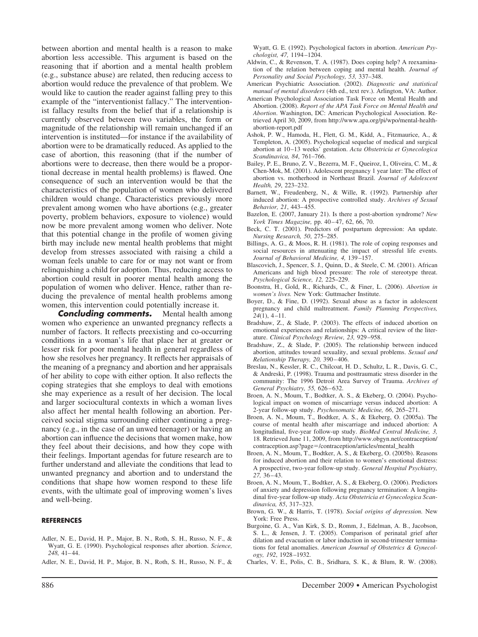between abortion and mental health is a reason to make abortion less accessible. This argument is based on the reasoning that if abortion and a mental health problem (e.g., substance abuse) are related, then reducing access to abortion would reduce the prevalence of that problem. We would like to caution the reader against falling prey to this example of the "interventionist fallacy." The interventionist fallacy results from the belief that if a relationship is currently observed between two variables, the form or magnitude of the relationship will remain unchanged if an intervention is instituted—for instance if the availability of abortion were to be dramatically reduced. As applied to the case of abortion, this reasoning (that if the number of abortions were to decrease, then there would be a proportional decrease in mental health problems) is flawed. One consequence of such an intervention would be that the characteristics of the population of women who delivered children would change. Characteristics previously more prevalent among women who have abortions (e.g., greater poverty, problem behaviors, exposure to violence) would now be more prevalent among women who deliver. Note that this potential change in the profile of women giving birth may include new mental health problems that might develop from stresses associated with raising a child a woman feels unable to care for or may not want or from relinquishing a child for adoption. Thus, reducing access to abortion could result in poorer mental health among the population of women who deliver. Hence, rather than reducing the prevalence of mental health problems among women, this intervention could potentially increase it.

**Concluding comments.** Mental health among women who experience an unwanted pregnancy reflects a number of factors. It reflects preexisting and co-occurring conditions in a woman's life that place her at greater or lesser risk for poor mental health in general regardless of how she resolves her pregnancy. It reflects her appraisals of the meaning of a pregnancy and abortion and her appraisals of her ability to cope with either option. It also reflects the coping strategies that she employs to deal with emotions she may experience as a result of her decision. The local and larger sociocultural contexts in which a woman lives also affect her mental health following an abortion. Perceived social stigma surrounding either continuing a pregnancy (e.g., in the case of an unwed teenager) or having an abortion can influence the decisions that women make, how they feel about their decisions, and how they cope with their feelings. Important agendas for future research are to further understand and alleviate the conditions that lead to unwanted pregnancy and abortion and to understand the conditions that shape how women respond to these life events, with the ultimate goal of improving women's lives and well-being.

#### **REFERENCES**

- Adler, N. E., David, H. P., Major, B. N., Roth, S. H., Russo, N. F., & Wyatt, G. E. (1990). Psychological responses after abortion. *Science, 248,* 41–44.
- Adler, N. E., David, H. P., Major, B. N., Roth, S. H., Russo, N. F., &

Wyatt, G. E. (1992). Psychological factors in abortion. *American Psychologist, 47,* 1194–1204.

- Aldwin, C., & Revenson, T. A. (1987). Does coping help? A reexamination of the relation between coping and mental health. *Journal of Personality and Social Psychology, 53,* 337–348.
- American Psychiatric Association. (2002). *Diagnostic and statistical manual of mental disorders* (4th ed., text rev.). Arlington, VA: Author.
- American Psychological Association Task Force on Mental Health and Abortion. (2008). *Report of the APA Task Force on Mental Health and Abortion*. Washington, DC: American Psychological Association. Retrieved April 30, 2009, from http://www.apa.org/pi/wpo/mental-healthabortion-report.pdf
- Ashok, P. W., Hamoda, H., Flett, G. M., Kidd, A., Fitzmaurice, A., & Templeton, A. (2005). Psychological sequelae of medical and surgical abortion at 10–13 weeks' gestation. *Acta Obstetricia et Gynecologica Scandinavica, 84*, 761–766.
- Bailey, P. E., Bruno, Z. V., Bezerra, M. F., Queiroz, I., Oliveira, C. M., & Chen-Mok, M. (2001). Adolescent pregnancy 1 year later: The effect of abortion vs. motherhood in Northeast Brazil. *Journal of Adolescent Health, 29*, 223–232.
- Barnett, W., Freudenberg, N., & Wille, R. (1992). Partnership after induced abortion: A prospective controlled study. *Archives of Sexual Behavior, 21*, 443–455.
- Bazelon, E. (2007, January 21). Is there a post-abortion syndrome? *New York Times Magazine,* pp. 40–47, 62, 66, 70.
- Beck, C. T. (2001). Predictors of postpartum depression: An update. *Nursing Research, 50*, 275–285.
- Billings, A. G., & Moos, R. H. (1981). The role of coping responses and social resources in attenuating the impact of stressful life events. *Journal of Behavioral Medicine, 4,* 139–157.
- Blascovich, J., Spencer, S. J., Quinn, D., & Steele, C. M. (2001). African Americans and high blood pressure: The role of stereotype threat. *Psychological Science, 12,* 225–229.
- Boonstra, H., Gold, R., Richards, C., & Finer, L. (2006). *Abortion in women's lives.* New York: Guttmacher Institute.
- Boyer, D., & Fine, D. (1992). Sexual abuse as a factor in adolescent pregnancy and child maltreatment. *Family Planning Perspectives, 24*(1), 4–11.
- Bradshaw, Z., & Slade, P. (2003). The effects of induced abortion on emotional experiences and relationships: A critical review of the literature. *Clinical Psychology Review, 23,* 929–958.
- Bradshaw, Z., & Slade, P. (2005). The relationship between induced abortion, attitudes toward sexuality, and sexual problems. *Sexual and Relationship Therapy, 20,* 390–406.
- Breslau, N., Kessler, R. C., Chilcoat, H. D., Schultz, L. R., Davis, G. C., & Andreski, P. (1998). Trauma and posttraumatic stress disorder in the community: The 1996 Detroit Area Survey of Trauma. *Archives of General Psychiatry, 55,* 626–632.
- Broen, A. N., Moum, T., Bodtker, A. S., & Ekeberg, O. (2004). Psychological impact on women of miscarriage versus induced abortion: A 2-year follow-up study. *Psychosomatic Medicine, 66*, 265–271.
- Broen, A. N., Moum, T., Bodtker, A. S., & Ekeberg, O. (2005a). The course of mental health after miscarriage and induced abortion: A longitudinal, five-year follow-up study. *BioMed Central Medicine, 3,* 18. Retrieved June 11, 2009, from http://www.obgyn.net/contraception/ contraception.asp?page-/contraception/articles/mental\_health
- Broen, A. N., Moum, T., Bodtker, A. S., & Ekeberg, O. (2005b). Reasons for induced abortion and their relation to women's emotional distress: A prospective, two-year follow-up study. *General Hospital Psychiatry, 27,* 36–43.
- Broen, A. N., Moum, T., Bodtker, A. S., & Ekeberg, O. (2006). Predictors of anxiety and depression following pregnancy termination: A longitudinal five-year follow-up study. *Acta Obstetricia et Gynecologica Scandinavica, 85*, 317–323.
- Brown, G. W., & Harris, T. (1978). *Social origins of depression.* New York: Free Press.
- Burgoine, G. A., Van Kirk, S. D., Romm, J., Edelman, A. B., Jacobson, S. L., & Jensen, J. T. (2005). Comparison of perinatal grief after dilation and evacuation or labor induction in second-trimester terminations for fetal anomalies. *American Journal of Obstetrics & Gynecology, 192*, 1928–1932.
- Charles, V. E., Polis, C. B., Sridhara, S. K., & Blum, R. W. (2008).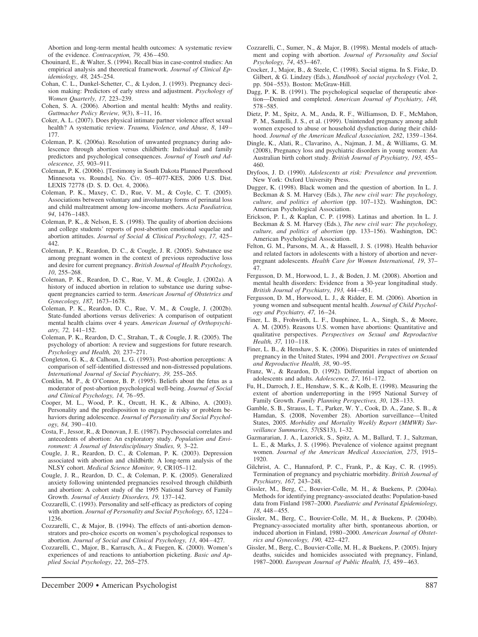Abortion and long-term mental health outcomes: A systematic review of the evidence. *Contraception, 79,* 436–450.

- Chouinard, E., & Walter, S. (1994). Recall bias in case-control studies: An empirical analysis and theoretical framework. *Journal of Clinical Epidemiology, 48,* 245–254.
- Cohan, C. L., Dunkel-Schetter, C., & Lydon, J. (1993). Pregnancy decision making: Predictors of early stress and adjustment. *Psychology of Women Quarterly, 17,* 223–239.
- Cohen, S. A. (2006). Abortion and mental health: Myths and reality. *Guttmacher Policy Review, 9*(3), 8–11, 16.
- Coker, A. L. (2007). Does physical intimate partner violence affect sexual health? A systematic review. *Trauma, Violence, and Abuse, 8*, 149– 177.
- Coleman, P. K. (2006a). Resolution of unwanted pregnancy during adolescence through abortion versus childbirth: Individual and family predictors and psychological consequences. *Journal of Youth and Adolescence, 35,* 903–911.
- Coleman, P. K. (2006b). [Testimony in South Dakota Planned Parenthood Minnesota vs. Rounds], No. Civ. 05–4077-KES, 2006 U.S. Dist. LEXIS 72778 (D. S. D. Oct. 4, 2006).
- Coleman, P. K., Maxey, C. D., Rue, V. M., & Coyle, C. T. (2005). Associations between voluntary and involuntary forms of perinatal loss and child maltreatment among low-income mothers. *Acta Paediatrica, 94*, 1476–1483.
- Coleman, P. K., & Nelson, E. S. (1998). The quality of abortion decisions and college students' reports of post-abortion emotional sequelae and abortion attitudes. *Journal of Social & Clinical Psychology, 17,* 425– 442.
- Coleman, P. K., Reardon, D. C., & Cougle, J. R. (2005). Substance use among pregnant women in the context of previous reproductive loss and desire for current pregnancy. *British Journal of Health Psychology, 10*, 255–268.
- Coleman, P. K., Reardon, D. C., Rue, V. M., & Cougle, J. (2002a). A history of induced abortion in relation to substance use during subsequent pregnancies carried to term. *American Journal of Obstetrics and Gynecology, 187,* 1673–1678.
- Coleman, P. K., Reardon, D. C., Rue, V. M., & Cougle, J. (2002b). State-funded abortions versus deliveries: A comparison of outpatient mental health claims over 4 years. *American Journal of Orthopsychiatry, 72,* 141–152.
- Coleman, P. K., Reardon, D. C., Strahan, T., & Cougle, J. R. (2005). The psychology of abortion: A review and suggestions for future research. *Psychology and Health, 20,* 237–271.
- Congleton, G. K., & Calhoun, L. G. (1993). Post-abortion perceptions: A comparison of self-identified distressed and non-distressed populations. *International Journal of Social Psychiatry, 39,* 255–265.
- Conklin, M. P., & O'Connor, B. P. (1995). Beliefs about the fetus as a moderator of post-abortion psychological well-being. *Journal of Social and Clinical Psychology, 14,* 76–95.
- Cooper, M. L., Wood, P. K., Orcutt, H. K., & Albino, A. (2003). Personality and the predisposition to engage in risky or problem behaviors during adolescence. *Journal of Personality and Social Psychology, 84,* 390–410.
- Costa, F., Jessor, R., & Donovan, J. E. (1987). Psychosocial correlates and antecedents of abortion: An exploratory study. *Population and Environment: A Journal of Interdisciplinary Studies, 9,* 3–22.
- Cougle, J. R., Reardon, D. C., & Coleman, P. K. (2003). Depression associated with abortion and childbirth: A long-term analysis of the NLSY cohort. *Medical Science Monitor, 9*, CR105–112.
- Cougle, J. R., Reardon, D. C., & Coleman, P. K. (2005). Generalized anxiety following unintended pregnancies resolved through childbirth and abortion: A cohort study of the 1995 National Survey of Family Growth. *Journal of Anxiety Disorders, 19,* 137–142.
- Cozzarelli, C. (1993). Personality and self-efficacy as predictors of coping with abortion. *Journal of Personality and Social Psychology, 65*, 1224– 1236.
- Cozzarelli, C., & Major, B. (1994). The effects of anti-abortion demonstrators and pro-choice escorts on women's psychological responses to abortion. *Journal of Social and Clinical Psychology, 13*, 404–427.
- Cozzarelli, C., Major, B., Karrasch, A., & Fuegen, K. (2000). Women's experiences of and reactions to antiabortion picketing. *Basic and Applied Social Psychology, 22*, 265–275.
- Cozzarelli, C., Sumer, N., & Major, B. (1998). Mental models of attachment and coping with abortion. *Journal of Personality and Social Psychology, 74*, 453–467.
- Crocker, J., Major, B., & Steele, C. (1998). Social stigma. In S. Fiske, D. Gilbert, & G. Lindzey (Eds.), *Handbook of social psychology* (Vol. 2, pp. 504–553). Boston: McGraw-Hill.
- Dagg, P. K. B. (1991). The psychological sequelae of therapeutic abortion—Denied and completed. *American Journal of Psychiatry, 148,* 578–585.
- Dietz, P. M., Spitz, A. M., Anda, R. F., Williamson, D. F., McMahon, P. M., Santelli, J. S., et al. (1999). Unintended pregnancy among adult women exposed to abuse or household dysfunction during their childhood. *Journal of the American Medical Association, 282*, 1359–1364.
- Dingle, K., Alati, R., Clavarino, A., Najman, J. M., & Williams, G. M. (2008), Pregnancy loss and psychiatric disorders in young women: An Australian birth cohort study. *British Journal of Psychiatry, 193,* 455– 460.
- Dryfoos, J. D. (1990). *Adolescents at risk: Prevalence and prevention.* New York: Oxford University Press.
- Dugger, K. (1998). Black women and the question of abortion. In L. J. Beckman & S. M. Harvey (Eds.), *The new civil war: The psychology, culture, and politics of abortion* (pp. 107–132). Washington, DC: American Psychological Association.
- Erickson, P. I., & Kaplan, C. P. (1998). Latinas and abortion. In L. J. Beckman & S. M. Harvey (Eds.), *The new civil war: The psychology, culture, and politics of abortion* (pp. 133–156). Washington, DC: American Psychological Association.
- Felton, G. M., Parsons, M. A., & Hassell, J. S. (1998). Health behavior and related factors in adolescents with a history of abortion and neverpregnant adolescents. *Health Care for Women International, 19*, 37– 47.
- Fergusson, D. M., Horwood, L. J., & Boden, J. M. (2008). Abortion and mental health disorders: Evidence from a 30-year longitudinal study. *British Journal of Psychiatry, 193,* 444–451.
- Fergusson, D. M., Horwood, L. J., & Ridder, E. M. (2006). Abortion in young women and subsequent mental health. *Journal of Child Psychology and Psychiatry, 47,* 16–24.
- Finer, L. B., Frohwirth, L. F., Dauphinee, L. A., Singh, S., & Moore, A. M. (2005). Reasons U.S. women have abortions: Quantitative and qualitative perspectives. *Perspectives on Sexual and Reproductive Health, 37,* 110–118.
- Finer, L. B., & Henshaw, S. K. (2006). Disparities in rates of unintended pregnancy in the United States, 1994 and 2001. *Perspectives on Sexual and Reproductive Health, 38*, 90–95.
- Franz, W., & Reardon, D. (1992). Differential impact of abortion on adolescents and adults. *Adolescence, 27*, 161–172.
- Fu, H., Darroch, J. E., Henshaw, S. K., & Kolb, E. (1998). Measuring the extent of abortion underreporting in the 1995 National Survey of Family Growth. *Family Planning Perspectives, 30*, 128–133.
- Gamble, S. B., Strauss, L. T., Parker, W. Y., Cook, D. A., Zane, S. B., & Hamdan, S. (2008, November 28). Abortion surveillance—United States, 2005. *Morbidity and Mortality Weekly Report (MMWR) Surveillance Summaries, 57*(SS13), 1–32.
- Gazmararian, J. A., Lazorick, S., Spitz, A. M., Ballard, T. J., Saltzman, L. E., & Marks, J. S. (1996). Prevalence of violence against pregnant women. *Journal of the American Medical Association, 275*, 1915– 1920.
- Gilchrist, A. C., Hannaford, P. C., Frank, P., & Kay, C. R. (1995). Termination of pregnancy and psychiatric morbidity. *British Journal of Psychiatry, 167,* 243–248.
- Gissler, M., Berg, C., Bouvier-Colle, M. H., & Buekens, P. (2004a). Methods for identifying pregnancy-associated deaths: Population-based data from Finland 1987–2000. *Paediatric and Perinatal Epidemiology, 18*, 448–455.
- Gissler, M., Berg, C., Bouvier-Colle, M. H., & Buekens, P. (2004b). Pregnancy-associated mortality after birth, spontaneous abortion, or induced abortion in Finland, 1980–2000. *American Journal of Obstetrics and Gynecology, 190,* 422–427.
- Gissler, M., Berg, C., Bouvier-Colle, M. H., & Buekens, P. (2005). Injury deaths, suicides and homicides associated with pregnancy, Finland, 1987–2000. *European Journal of Public Health, 15,* 459–463.

December 2009 ● American Psychologist 887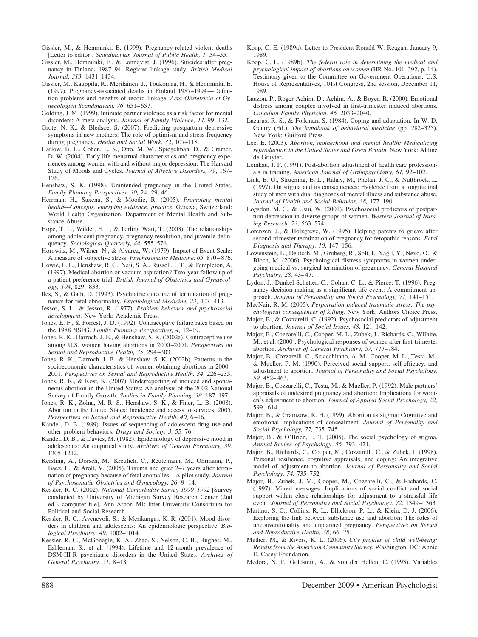Gissler, M., & Hemminki, E. (1999). Pregnancy-related violent deaths [Letter to editor]. *Scandinavian Journal of Public Health, 1,* 54–55.

- Gissler, M., Hemminki, E., & Lonnqvist, J. (1996). Suicides after pregnancy in Finland, 1987–94: Register linkage study. *British Medical Journal, 313,* 1431–1434.
- Gissler, M., Kauppila, R., Merilainen, J., Toukomaa, H., & Hemminki, E. (1997). Pregnancy-associated deaths in Finland 1987–1994—Definition problems and benefits of record linkage. *Acta Obstetricia et Gynecologica Scandinavica, 76*, 651–657.
- Golding, J. M. (1999). Intimate partner violence as a risk factor for mental disorders: A meta-analysis. *Journal of Family Violence, 14*, 99–132.
- Grote, N. K., & Bledsoe, S. (2007). Predicting postpartum depressive symptoms in new mothers: The role of optimism and stress frequency during pregnancy. *Health and Social Work, 32*, 107–118.
- Harlow, B. L., Cohen, L. S., Otto, M. W., Spiegelman, D., & Cramer, D. W. (2004). Early life menstrual characteristics and pregnancy experiences among women with and without major depression: The Harvard Study of Moods and Cycles. *Journal of Affective Disorders, 79*, 167– 176.
- Henshaw, S. K. (1998). Unintended pregnancy in the United States. *Family Planning Perspectives, 30,* 24–29, 46.
- Herrman, H., Saxena, S., & Moodie, R. (2005). *Promoting mental health—Concepts, emerging evidence, practice.* Geneva, Switzerland: World Health Organization, Department of Mental Health and Substance Abuse.
- Hope, T. L., Wilder, E. I., & Terling Watt, T. (2003). The relationships among adolescent pregnancy, pregnancy resolution, and juvenile delinquency. *Sociological Quarterly, 44,* 555–576.
- Horowitz, M., Wilner, N., & Alvarez, W. (1979). Impact of Event Scale: A measure of subjective stress. *Psychosomatic Medicine, 65,* 870–876.
- Howie, F. L., Henshaw, R. C., Naji, S. A., Russell, I. T., & Templeton, A. (1997). Medical abortion or vacuum aspiration? Two-year follow up of a patient preference trial. *British Journal of Obstetrics and Gynaecology, 104*, 829–833.
- Iles, S., & Gath, D. (1993). Psychiatric outcome of termination of pregnancy for fetal abnormality. *Psychological Medicine, 23*, 407–413.
- Jessor, S. L., & Jessor, R. (1977). *Problem behavior and psychosocial development.* New York: Academic Press.
- Jones, E. F., & Forrest, J. D. (1992). Contraceptive failure rates based on the 1988 NSFG. *Family Planning Perspectives, 4,* 12–19.
- Jones, R. K., Darroch, J. E., & Henshaw, S. K. (2002a). Contraceptive use among U.S. women having abortions in 2000–2001. *Perspectives on Sexual and Reproductive Health, 35*, 294–303.
- Jones, R. K., Darroch, J. E., & Henshaw, S. K. (2002b). Patterns in the socioeconomic characteristics of women obtaining abortions in 2000– 2001. *Perspectives on Sexual and Reproductive Health, 34*, 226–235.
- Jones, R. K., & Kost, K. (2007). Underreporting of induced and spontaneous abortion in the United States: An analysis of the 2002 National Survey of Family Growth. *Studies in Family Planning, 38*, 187–197.
- Jones, R. K., Zolna, M. R. S., Henshaw, S. K., & Finer, L. B. (2008). Abortion in the United States: Incidence and access to services, 2005. *Perspectives on Sexual and Reproductive Health, 40*, 6–16.
- Kandel, D. B. (1989). Issues of sequencing of adolescent drug use and other problem behaviors. *Drugs and Society, 3,* 55–76.
- Kandel, D. B., & Davies, M. (1982). Epidemiology of depressive mood in adolescents: An empirical study. *Archives of General Psychiatry, 39,* 1205–1212.
- Kersting, A., Dorsch, M., Kreulich, C., Reutemann, M., Ohrmann, P., Baez, E., & Arolt, V. (2005). Trauma and grief 2–7 years after termination of pregnancy because of fetal anomalies—A pilot study. *Journal of Psychosomatic Obstetrics and Gynecology, 26*, 9–14.
- Kessler, R. C. (2002). *National Comorbidity Survey 1990*–*1992* [Survey conducted by University of Michigan Survey Research Center (2nd ed.), computer file]. Ann Arbor, MI: Inter-University Consortium for Political and Social Research.
- Kessler, R. C., Avenevoli, S., & Merikangas, K. R. (2001). Mood disorders in children and adolescents: An epidemiologic perspective. *Biological Psychiatry, 49*, 1002–1014.
- Kessler, R. C., McGonagle, K. A., Zhao, S., Nelson, C. B., Hughes, M., Eshleman, S., et al. (1994). Lifetime and 12-month prevalence of DSM-III-R psychiatric disorders in the United States. *Archives of General Psychiatry, 51,* 8–18.
- Koop, C. E. (1989a). Letter to President Ronald W. Reagan, January 9, 1989.
- Koop, C. E. (1989b). *The federal role in determining the medical and psychological impact of abortions on women* (HR No. 101–392, p. 14). Testimony given to the Committee on Government Operations, U.S. House of Representatives, 101st Congress, 2nd session, December 11, 1989.
- Lauzon, P., Roger-Achim, D., Achim, A., & Boyer, R. (2000). Emotional distress among couples involved in first-trimester induced abortions. *Canadian Family Physician, 46,* 2033–2040.
- Lazarus, R. S., & Folkman, S. (1984). Coping and adaptation. In W. D. Gentry (Ed.), *The handbook of behavioral medicine* (pp. 282–325). New York: Guilford Press.
- Lee, E. (2003). *Abortion, motherhood and mental health: Medicalizing reproduction in the United States and Great Britain.* New York: Aldine de Gruyter.
- Lemkau, J. P. (1991). Post-abortion adjustment of health care professionals in training. *American Journal of Orthopsychiatry, 61,* 92–102.
- Link, B. G., Struening, E. L., Rahav, M., Phelan, J. C., & Nuttbrock, L. (1997). On stigma and its consequences: Evidence from a longitudinal study of men with dual diagnoses of mental illness and substance abuse. *Journal of Health and Social Behavior, 38,* 177–190.
- Logsdon, M. C., & Usui, W. (2001). Psychosocial predictors of postpartum depression in diverse groups of women. *Western Journal of Nursing Research, 23*, 563–574.
- Lorenzen, J., & Holzgreve, W. (1995). Helping parents to grieve after second-trimester termination of pregnancy for fetopathic reasons. *Fetal Diagnosis and Therapy, 10*, 147–156.
- Lowenstein, L., Deutcsh, M., Gruberg, R., Solt, I., Yagil, Y., Nevo, O., & Bloch, M. (2006). Psychological distress symptoms in women undergoing medical vs. surgical termination of pregnancy. *General Hospital Psychiatry, 28,* 43–47.
- Lydon, J., Dunkel-Schetter, C., Cohan, C. L., & Pierce, T. (1996). Pregnancy decision-making as a significant life event: A commitment approach. *Journal of Personality and Social Psychology, 71,* 141–151.
- MacNair, R. M. (2005). *Perpetration-induced traumatic stress: The psychological consequences of killing.* New York: Authors Choice Press.
- Major, B., & Cozzarelli, C. (1992). Psychosocial predictors of adjustment to abortion. *Journal of Social Issues, 48,* 121–142.
- Major, B., Cozzarelli, C., Cooper, M. L., Zubek, J., Richards, C., Wilhite, M., et al. (2000). Psychological responses of women after first-trimester abortion. *Archives of General Psychiatry, 57,* 777–784.
- Major, B., Cozzarelli, C., Sciacchitano, A. M., Cooper, M. L., Testa, M., & Mueller, P. M. (1990). Perceived social support, self-efficacy, and adjustment to abortion. *Journal of Personality and Social Psychology, 59,* 452–463.
- Major, B., Cozzarelli, C., Testa, M., & Mueller, P. (1992). Male partners' appraisals of undesired pregnancy and abortion: Implications for women's adjustment to abortion. *Journal of Applied Social Psychology, 22,* 599–614.
- Major, B., & Gramzow, R. H. (1999). Abortion as stigma: Cognitive and emotional implications of concealment. *Journal of Personality and Social Psychology, 77,* 735–745.
- Major, B., & O'Brien, L. T. (2005). The social psychology of stigma. *Annual Review of Psychology, 56,* 393–421.
- Major, B., Richards, C., Cooper, M., Cozzarelli, C., & Zubek, J. (1998). Personal resilience, cognitive appraisals, and coping: An integrative model of adjustment to abortion. *Journal of Personality and Social Psychology, 74,* 735–752.
- Major, B., Zubek, J. M., Cooper, M., Cozzarelli, C., & Richards, C. (1997). Mixed messages: Implications of social conflict and social support within close relationships for adjustment to a stressful life event. *Journal of Personality and Social Psychology, 72,* 1349–1363.
- Martino, S. C., Collins, R. L., Ellickson, P. L., & Klein, D. J. (2006). Exploring the link between substance use and abortion: The roles of unconventionality and unplanned pregnancy. *Perspectives on Sexual and Reproductive Health, 38*, 66–75.
- Mather, M., & Rivers, K. L. (2006). *City profiles of child well-being: Results from the American Community Survey.* Washington, DC: Annie E. Casey Foundation.
- Medora, N. P., Goldstein, A., & von der Hellen, C. (1993). Variables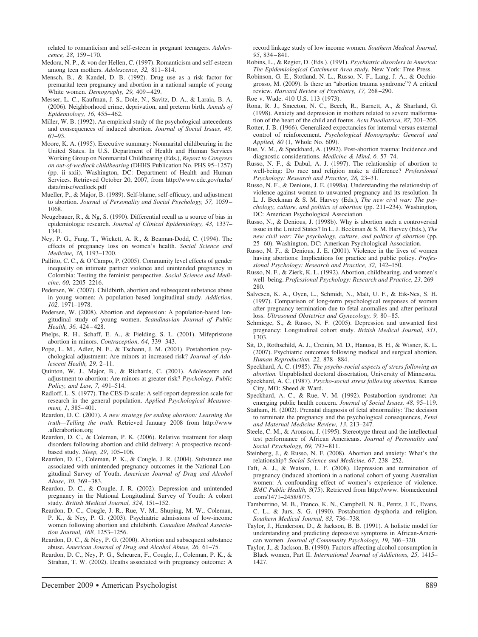related to romanticism and self-esteem in pregnant teenagers. *Adolescence, 28*, 159–170.

- Medora, N. P., & von der Hellen, C. (1997). Romanticism and self-esteem among teen mothers. *Adolescence, 32,* 811–814.
- Mensch, B., & Kandel, D. B. (1992). Drug use as a risk factor for premarital teen pregnancy and abortion in a national sample of young White women. *Demography, 29,* 409–429.
- Messer, L. C., Kaufman, J. S., Dole, N., Savitz, D. A., & Laraia, B. A. (2006). Neighborhood crime, deprivation, and preterm birth. *Annals of Epidemiology, 16,* 455–462.
- Miller, W. B. (1992). An empirical study of the psychological antecedents and consequences of induced abortion. *Journal of Social Issues, 48,* 67–93.
- Moore, K. A. (1995). Executive summary: Nonmarital childbearing in the United States. In U.S. Department of Health and Human Services Working Group on Nonmarital Childbearing (Eds.), *Report to Congress on out-of-wedlock childbearing* (DHHS Publication No. PHS 95–1257) (pp. ii–xxii). Washington, DC: Department of Health and Human Services. Retrieved October 20, 2007, from http://www.cdc.gov/nchs/ data/misc/wedlock.pdf
- Mueller, P., & Major, B. (1989). Self-blame, self-efficacy, and adjustment to abortion. *Journal of Personality and Social Psychology, 57,* 1059– 1068.
- Neugebauer, R., & Ng, S. (1990). Differential recall as a source of bias in epidemiologic research. *Journal of Clinical Epidemiology, 43,* 1337– 1341.
- Ney, P. G., Fung, T., Wickett, A. R., & Beaman-Dodd, C. (1994). The effects of pregnancy loss on women's health. *Social Science and Medicine, 38,* 1193–1200.
- Pallitto, C. C., & O'Campo, P. (2005). Community level effects of gender inequality on intimate partner violence and unintended pregnancy in Colombia: Testing the feminist perspective. *Social Science and Medicine, 60,* 2205–2216.
- Pedersen, W. (2007). Childbirth, abortion and subsequent substance abuse in young women: A population-based longitudinal study. *Addiction, 102,* 1971–1978.
- Pedersen, W. (2008). Abortion and depression: A population-based longitudinal study of young women. *Scandinavian Journal of Public Health, 36,* 424–428.
- Phelps, R. H., Schaff, E. A., & Fielding, S. L. (2001). Mifepristone abortion in minors. *Contraception, 64*, 339–343.
- Pope, L. M., Adler, N. E., & Tschann, J. M. (2001). Postabortion psychological adjustment: Are minors at increased risk? *Journal of Adolescent Health, 29,* 2–11.
- Quinton, W. J., Major, B., & Richards, C. (2001). Adolescents and adjustment to abortion: Are minors at greater risk? *Psychology, Public Policy, and Law, 7,* 491–514.
- Radloff, L. S. (1977). The CES-D scale: A self-report depression scale for research in the general population. *Applied Psychological Measurement, 1*, 385–401.
- Reardon, D. C. (2007). *A new strategy for ending abortion: Learning the truth—Telling the truth.* Retrieved January 2008 from http://www .afterabortion.org
- Reardon, D. C., & Coleman, P. K. (2006). Relative treatment for sleep disorders following abortion and child delivery: A prospective recordbased study. *Sleep, 29*, 105–106.
- Reardon, D. C., Coleman, P. K., & Cougle, J. R. (2004). Substance use associated with unintended pregnancy outcomes in the National Longitudinal Survey of Youth. *American Journal of Drug and Alcohol Abuse, 30*, 369–383.
- Reardon, D. C., & Cougle, J. R. (2002). Depression and unintended pregnancy in the National Longitudinal Survey of Youth: A cohort study. *British Medical Journal, 324*, 151–152.
- Reardon, D. C., Cougle, J. R., Rue, V. M., Shuping, M. W., Coleman, P. K., & Ney, P. G. (2003). Psychiatric admissions of low-income women following abortion and childbirth. *Canadian Medical Association Journal, 168,* 1253–1256.
- Reardon, D. C., & Ney, P. G. (2000). Abortion and subsequent substance abuse. *American Journal of Drug and Alcohol Abuse, 26,* 61–75.
- Reardon, D. C., Ney, P. G., Scheuren, F., Cougle, J., Coleman, P. K., & Strahan, T. W. (2002). Deaths associated with pregnancy outcome: A

record linkage study of low income women. *Southern Medical Journal, 95*, 834–841.

- Robins, L., & Regier, D. (Eds.). (1991). *Psychiatric disorders in America: The Epidemiological Catchment Area study.* New York: Free Press.
- Robinson, G. E., Stotland, N. L., Russo, N. F., Lang, J. A., & Occhiogrosso, M. (2009). Is there an "abortion trauma syndrome"? A critical review. *Harvard Review of Psychiatry, 17,* 268–290.
- Roe v. Wade. 410 U.S. 113 (1973).
- Rona, R. J., Smeeton, N. C., Beech, R., Barnett, A., & Sharland, G. (1998). Anxiety and depression in mothers related to severe malformation of the heart of the child and foetus. *Acta Paediatrica, 87,* 201–205.
- Rotter, J. B. (1966). Generalized expectancies for internal versus external control of reinforcement. *Psychological Monographs: General and Applied, 80* (1, Whole No. 609).
- Rue, V. M., & Speckhard, A. (1992). Post-abortion trauma: Incidence and diagnostic considerations. *Medicine & Mind, 6,* 57–74.
- Russo, N. F., & Dabul, A. J. (1997). The relationship of abortion to well-being: Do race and religion make a difference? *Professional Psychology: Research and Practice, 28,* 23–31.
- Russo, N. F., & Denious, J. E. (1998a). Understanding the relationship of violence against women to unwanted pregnancy and its resolution. In L. J. Beckman & S. M. Harvey (Eds.), *The new civil war: The psychology, culture, and politics of abortion* (pp. 211–234). Washington, DC: American Psychological Association.
- Russo, N., & Denious, J. (1998b). Why is abortion such a controversial issue in the United States? In L. J. Beckman & S. M. Harvey (Eds.), *The new civil war: The psychology, culture, and politics of abortion* (pp. 25–60). Washington, DC: American Psychological Association.
- Russo, N. F., & Denious, J. E. (2001). Violence in the lives of women having abortions: Implications for practice and public policy. *Professional Psychology: Research and Practice, 32,* 142–150.
- Russo, N. F., & Zierk, K. L. (1992). Abortion, childbearing, and women's well- being. *Professional Psychology: Research and Practice, 23,* 269– 280.
- Salvesen, K. A., Oyen, L., Schmidt, N., Malt, U. F., & Eik-Nes, S. H. (1997). Comparison of long-term psychological responses of women after pregnancy termination due to fetal anomalies and after perinatal loss. *Ultrasound Obstetrics and Gynecology, 9,* 80–85.
- Schmiege, S., & Russo, N. F. (2005). Depression and unwanted first pregnancy: Longitudinal cohort study. *British Medical Journal, 331*, 1303.
- Sit, D., Rothschild, A. J., Creinin, M. D., Hanusa, B. H., & Wisner, K. L. (2007). Psychiatric outcomes following medical and surgical abortion. *Human Reproduction, 22,* 878–884.
- Speckhard, A. C. (1985). *The psycho-social aspects of stress following an abortion.* Unpublished doctoral dissertation, University of Minnesota.
- Speckhard, A. C. (1987). *Psycho-social stress following abortion.* Kansas City, MO: Sheed & Ward.
- Speckhard, A. C., & Rue, V. M. (1992). Postabortion syndrome: An emerging public health concern. *Journal of Social Issues, 48,* 95–119.
- Statham, H. (2002). Prenatal diagnosis of fetal abnormality: The decision to terminate the pregnancy and the psychological consequences, *Fetal and Maternal Medicine Review, 13*, 213–247.
- Steele, C. M., & Aronson, J. (1995). Stereotype threat and the intellectual test performance of African Americans. *Journal of Personality and Social Psychology, 69,* 797–811.
- Steinberg, J., & Russo, N. F. (2008). Abortion and anxiety: What's the relationship? *Social Science and Medicine, 67,* 238–252.
- Taft, A. J., & Watson, L. F. (2008). Depression and termination of pregnancy (induced abortion) in a national cohort of young Australian women: A confounding effect of women's experience of violence. *BMC Public Health, 8*(75). Retrieved from http://www. biomedcentral .com/1471–2458/8/75.
- Tamburrino, M. B., Franco, K. N., Campbell, N. B., Pentz, J. E., Evans, C. L., & Jurs, S. G. (1990). Postabortion dysphoria and religion. *Southern Medical Journal, 83,* 736–738.
- Taylor, J., Henderson, D., & Jackson, B. B. (1991). A holistic model for understanding and predicting depressive symptoms in African-American women. *Journal of Community Psychology, 19,* 306–320.
- Taylor, J., & Jackson, B. (1990). Factors affecting alcohol consumption in Black women, Part II. *International Journal of Addictions, 25,* 1415– 1427.

December 2009 ● American Psychologist 889